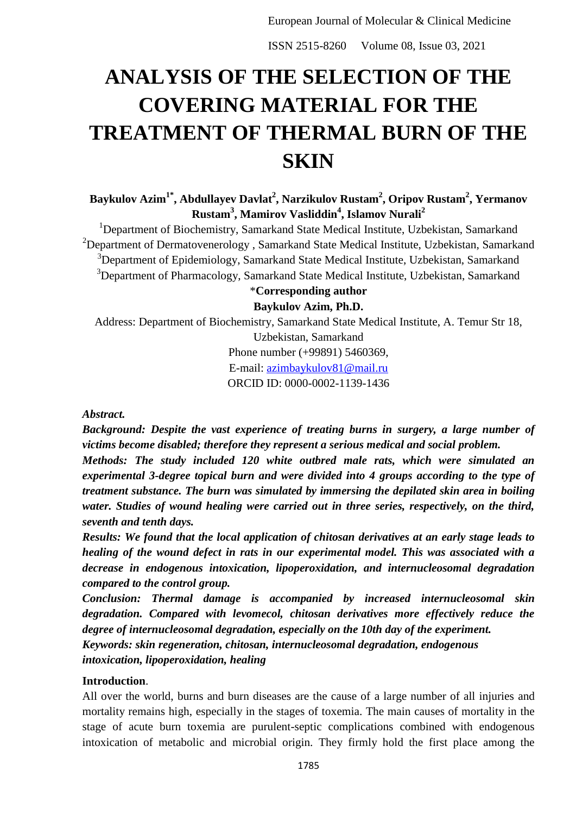# **ANALYSIS OF THE SELECTION OF THE COVERING MATERIAL FOR THE TREATMENT OF THERMAL BURN OF THE SKIN**

**Baykulov Azim1\* , Abdullayev Davlat<sup>2</sup> , Narzikulov Rustam<sup>2</sup> , Oripov Rustam<sup>2</sup> , Yermanov Rustam<sup>3</sup> , Mamirov Vasliddin<sup>4</sup> , Islamov Nurali<sup>2</sup>**

<sup>1</sup>Department of Biochemistry, Samarkand State Medical Institute, Uzbekistan, Samarkand  $2$ Department of Dermatovenerology, Samarkand State Medical Institute, Uzbekistan, Samarkand <sup>3</sup>Department of Epidemiology, Samarkand State Medical Institute, Uzbekistan, Samarkand <sup>3</sup>Department of Pharmacology, Samarkand State Medical Institute, Uzbekistan, Samarkand

# \***Corresponding author Baykulov Azim, Ph.D.**

Address: Department of Biochemistry, Samarkand State Medical Institute, A. Temur Str 18, Uzbekistan, Samarkand Phone number (+99891) 5460369,

E-mail: [azimbaykulov81@mail.ru](mailto:azimbaykulov81@mail.ru)

ORCID ID: 0000-0002-1139-1436

# *Abstract.*

*Background: Despite the vast experience of treating burns in surgery, a large number of victims become disabled; therefore they represent a serious medical and social problem.*

*Methods: The study included 120 white outbred male rats, which were simulated an experimental 3-degree topical burn and were divided into 4 groups according to the type of treatment substance. The burn was simulated by immersing the depilated skin area in boiling water. Studies of wound healing were carried out in three series, respectively, on the third, seventh and tenth days.*

*Results: We found that the local application of chitosan derivatives at an early stage leads to healing of the wound defect in rats in our experimental model. This was associated with a decrease in endogenous intoxication, lipoperoxidation, and internucleosomal degradation compared to the control group.*

*Conclusion: Thermal damage is accompanied by increased internucleosomal skin degradation. Compared with levomecol, chitosan derivatives more effectively reduce the degree of internucleosomal degradation, especially on the 10th day of the experiment. Keywords: skin regeneration, chitosan, internucleosomal degradation, endogenous intoxication, lipoperoxidation, healing*

# **Introduction**.

All over the world, burns and burn diseases are the cause of a large number of all injuries and mortality remains high, especially in the stages of toxemia. The main causes of mortality in the stage of acute burn toxemia are purulent-septic complications combined with endogenous intoxication of metabolic and microbial origin. They firmly hold the first place among the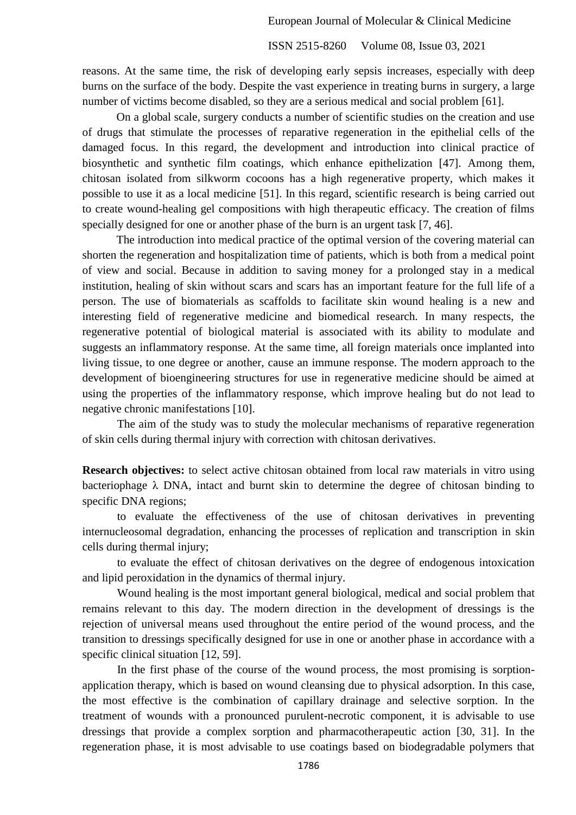reasons. At the same time, the risk of developing early sepsis increases, especially with deep burns on the surface of the body. Despite the vast experience in treating burns in surgery, a large number of victims become disabled, so they are a serious medical and social problem [61].

On a global scale, surgery conducts a number of scientific studies on the creation and use of drugs that stimulate the processes of reparative regeneration in the epithelial cells of the damaged focus. In this regard, the development and introduction into clinical practice of biosynthetic and synthetic film coatings, which enhance epithelization [47]. Among them, chitosan isolated from silkworm cocoons has a high regenerative property, which makes it possible to use it as a local medicine [51]. In this regard, scientific research is being carried out to create wound-healing gel compositions with high therapeutic efficacy. The creation of films specially designed for one or another phase of the burn is an urgent task [7, 46].

The introduction into medical practice of the optimal version of the covering material can shorten the regeneration and hospitalization time of patients, which is both from a medical point of view and social. Because in addition to saving money for a prolonged stay in a medical institution, healing of skin without scars and scars has an important feature for the full life of a person. The use of biomaterials as scaffolds to facilitate skin wound healing is a new and interesting field of regenerative medicine and biomedical research. In many respects, the regenerative potential of biological material is associated with its ability to modulate and suggests an inflammatory response. At the same time, all foreign materials once implanted into living tissue, to one degree or another, cause an immune response. The modern approach to the development of bioengineering structures for use in regenerative medicine should be aimed at using the properties of the inflammatory response, which improve healing but do not lead to negative chronic manifestations [10].

The aim of the study was to study the molecular mechanisms of reparative regeneration of skin cells during thermal injury with correction with chitosan derivatives.

**Research objectives:** to select active chitosan obtained from local raw materials in vitro using bacteriophage  $\lambda$  DNA, intact and burnt skin to determine the degree of chitosan binding to specific DNA regions;

to evaluate the effectiveness of the use of chitosan derivatives in preventing internucleosomal degradation, enhancing the processes of replication and transcription in skin cells during thermal injury;

to evaluate the effect of chitosan derivatives on the degree of endogenous intoxication and lipid peroxidation in the dynamics of thermal injury.

Wound healing is the most important general biological, medical and social problem that remains relevant to this day. The modern direction in the development of dressings is the rejection of universal means used throughout the entire period of the wound process, and the transition to dressings specifically designed for use in one or another phase in accordance with a specific clinical situation [12, 59].

In the first phase of the course of the wound process, the most promising is sorptionapplication therapy, which is based on wound cleansing due to physical adsorption. In this case, the most effective is the combination of capillary drainage and selective sorption. In the treatment of wounds with a pronounced purulent-necrotic component, it is advisable to use dressings that provide a complex sorption and pharmacotherapeutic action [30, 31]. In the regeneration phase, it is most advisable to use coatings based on biodegradable polymers that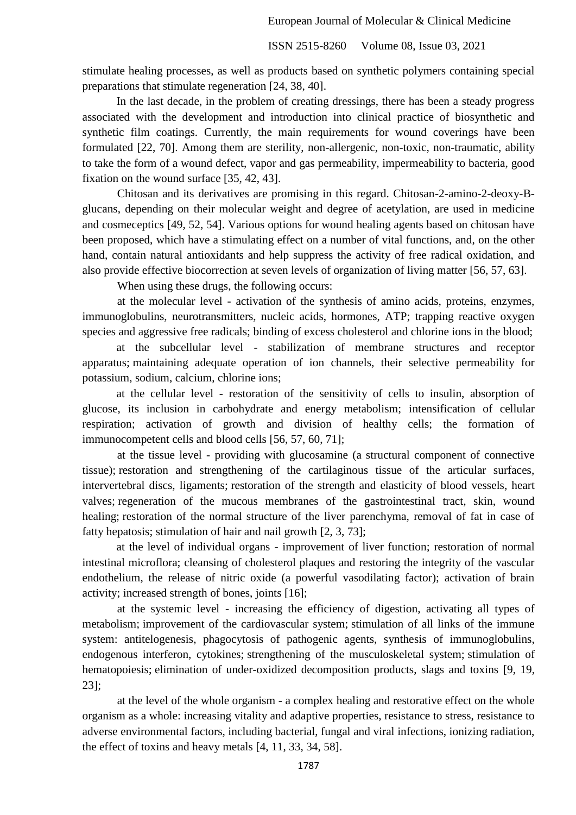stimulate healing processes, as well as products based on synthetic polymers containing special preparations that stimulate regeneration [24, 38, 40].

In the last decade, in the problem of creating dressings, there has been a steady progress associated with the development and introduction into clinical practice of biosynthetic and synthetic film coatings. Currently, the main requirements for wound coverings have been formulated [22, 70]. Among them are sterility, non-allergenic, non-toxic, non-traumatic, ability to take the form of a wound defect, vapor and gas permeability, impermeability to bacteria, good fixation on the wound surface [35, 42, 43].

Chitosan and its derivatives are promising in this regard. Chitosan-2-amino-2-deoxy-Bglucans, depending on their molecular weight and degree of acetylation, are used in medicine and cosmeceptics [49, 52, 54]. Various options for wound healing agents based on chitosan have been proposed, which have a stimulating effect on a number of vital functions, and, on the other hand, contain natural antioxidants and help suppress the activity of free radical oxidation, and also provide effective biocorrection at seven levels of organization of living matter [56, 57, 63].

When using these drugs, the following occurs:

at the molecular level - activation of the synthesis of amino acids, proteins, enzymes, immunoglobulins, neurotransmitters, nucleic acids, hormones, ATP; trapping reactive oxygen species and aggressive free radicals; binding of excess cholesterol and chlorine ions in the blood;

at the subcellular level - stabilization of membrane structures and receptor apparatus; maintaining adequate operation of ion channels, their selective permeability for potassium, sodium, calcium, chlorine ions;

at the cellular level - restoration of the sensitivity of cells to insulin, absorption of glucose, its inclusion in carbohydrate and energy metabolism; intensification of cellular respiration; activation of growth and division of healthy cells; the formation of immunocompetent cells and blood cells [56, 57, 60, 71];

at the tissue level - providing with glucosamine (a structural component of connective tissue); restoration and strengthening of the cartilaginous tissue of the articular surfaces, intervertebral discs, ligaments; restoration of the strength and elasticity of blood vessels, heart valves; regeneration of the mucous membranes of the gastrointestinal tract, skin, wound healing; restoration of the normal structure of the liver parenchyma, removal of fat in case of fatty hepatosis; stimulation of hair and nail growth [2, 3, 73];

at the level of individual organs - improvement of liver function; restoration of normal intestinal microflora; cleansing of cholesterol plaques and restoring the integrity of the vascular endothelium, the release of nitric oxide (a powerful vasodilating factor); activation of brain activity; increased strength of bones, joints [16];

at the systemic level - increasing the efficiency of digestion, activating all types of metabolism; improvement of the cardiovascular system; stimulation of all links of the immune system: antitelogenesis, phagocytosis of pathogenic agents, synthesis of immunoglobulins, endogenous interferon, cytokines; strengthening of the musculoskeletal system; stimulation of hematopoiesis; elimination of under-oxidized decomposition products, slags and toxins [9, 19, 23];

at the level of the whole organism - a complex healing and restorative effect on the whole organism as a whole: increasing vitality and adaptive properties, resistance to stress, resistance to adverse environmental factors, including bacterial, fungal and viral infections, ionizing radiation, the effect of toxins and heavy metals [4, 11, 33, 34, 58].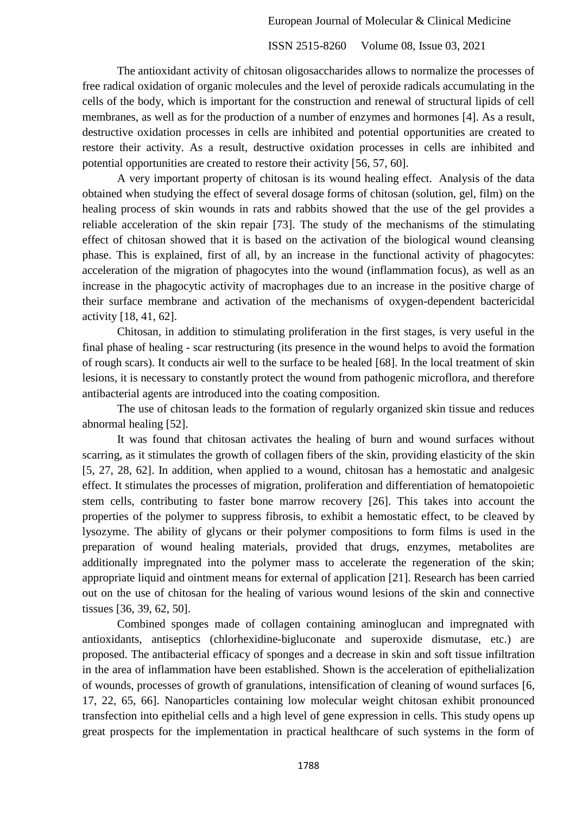The antioxidant activity of chitosan oligosaccharides allows to normalize the processes of free radical oxidation of organic molecules and the level of peroxide radicals accumulating in the cells of the body, which is important for the construction and renewal of structural lipids of cell membranes, as well as for the production of a number of enzymes and hormones [4]. As a result, destructive oxidation processes in cells are inhibited and potential opportunities are created to restore their activity. As a result, destructive oxidation processes in cells are inhibited and potential opportunities are created to restore their activity [56, 57, 60].

A very important property of chitosan is its wound healing effect. Analysis of the data obtained when studying the effect of several dosage forms of chitosan (solution, gel, film) on the healing process of skin wounds in rats and rabbits showed that the use of the gel provides a reliable acceleration of the skin repair [73]. The study of the mechanisms of the stimulating effect of chitosan showed that it is based on the activation of the biological wound cleansing phase. This is explained, first of all, by an increase in the functional activity of phagocytes: acceleration of the migration of phagocytes into the wound (inflammation focus), as well as an increase in the phagocytic activity of macrophages due to an increase in the positive charge of their surface membrane and activation of the mechanisms of oxygen-dependent bactericidal activity [18, 41, 62].

Chitosan, in addition to stimulating proliferation in the first stages, is very useful in the final phase of healing - scar restructuring (its presence in the wound helps to avoid the formation of rough scars). It conducts air well to the surface to be healed [68]. In the local treatment of skin lesions, it is necessary to constantly protect the wound from pathogenic microflora, and therefore antibacterial agents are introduced into the coating composition.

The use of chitosan leads to the formation of regularly organized skin tissue and reduces abnormal healing [52].

It was found that chitosan activates the healing of burn and wound surfaces without scarring, as it stimulates the growth of collagen fibers of the skin, providing elasticity of the skin [5, 27, 28, 62]. In addition, when applied to a wound, chitosan has a hemostatic and analgesic effect. It stimulates the processes of migration, proliferation and differentiation of hematopoietic stem cells, contributing to faster bone marrow recovery [26]. This takes into account the properties of the polymer to suppress fibrosis, to exhibit a hemostatic effect, to be cleaved by lysozyme. The ability of glycans or their polymer compositions to form films is used in the preparation of wound healing materials, provided that drugs, enzymes, metabolites are additionally impregnated into the polymer mass to accelerate the regeneration of the skin; appropriate liquid and ointment means for external of application [21]. Research has been carried out on the use of chitosan for the healing of various wound lesions of the skin and connective tissues [36, 39, 62, 50].

Combined sponges made of collagen containing aminoglucan and impregnated with antioxidants, antiseptics (chlorhexidine-bigluconate and superoxide dismutase, etc.) are proposed. The antibacterial efficacy of sponges and a decrease in skin and soft tissue infiltration in the area of inflammation have been established. Shown is the acceleration of epithelialization of wounds, processes of growth of granulations, intensification of cleaning of wound surfaces [6, 17, 22, 65, 66]. Nanoparticles containing low molecular weight chitosan exhibit pronounced transfection into epithelial cells and a high level of gene expression in cells. This study opens up great prospects for the implementation in practical healthcare of such systems in the form of

1788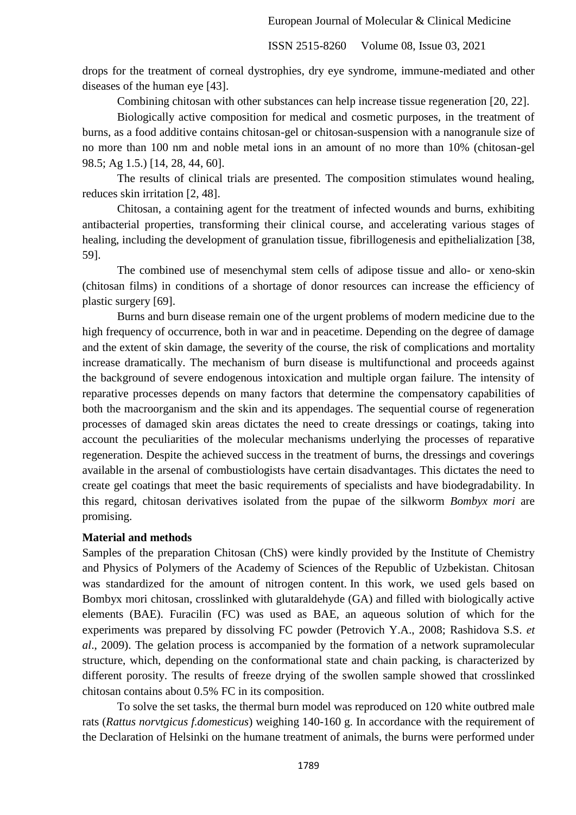drops for the treatment of corneal dystrophies, dry eye syndrome, immune-mediated and other diseases of the human eye [43].

Combining chitosan with other substances can help increase tissue regeneration [20, 22].

Biologically active composition for medical and cosmetic purposes, in the treatment of burns, as a food additive contains chitosan-gel or chitosan-suspension with a nanogranule size of no more than 100 nm and noble metal ions in an amount of no more than 10% (chitosan-gel 98.5; Ag 1.5.) [14, 28, 44, 60].

The results of clinical trials are presented. The composition stimulates wound healing, reduces skin irritation [2, 48].

Chitosan, a containing agent for the treatment of infected wounds and burns, exhibiting antibacterial properties, transforming their clinical course, and accelerating various stages of healing, including the development of granulation tissue, fibrillogenesis and epithelialization [38, 59].

The combined use of mesenchymal stem cells of adipose tissue and allo- or xeno-skin (chitosan films) in conditions of a shortage of donor resources can increase the efficiency of plastic surgery [69].

Burns and burn disease remain one of the urgent problems of modern medicine due to the high frequency of occurrence, both in war and in peacetime. Depending on the degree of damage and the extent of skin damage, the severity of the course, the risk of complications and mortality increase dramatically. The mechanism of burn disease is multifunctional and proceeds against the background of severe endogenous intoxication and multiple organ failure. The intensity of reparative processes depends on many factors that determine the compensatory capabilities of both the macroorganism and the skin and its appendages. The sequential course of regeneration processes of damaged skin areas dictates the need to create dressings or coatings, taking into account the peculiarities of the molecular mechanisms underlying the processes of reparative regeneration. Despite the achieved success in the treatment of burns, the dressings and coverings available in the arsenal of combustiologists have certain disadvantages. This dictates the need to create gel coatings that meet the basic requirements of specialists and have biodegradability. In this regard, chitosan derivatives isolated from the pupae of the silkworm *Bombyx mori* are promising.

#### **Material and methods**

Samples of the preparation Chitosan (ChS) were kindly provided by the Institute of Chemistry and Physics of Polymers of the Academy of Sciences of the Republic of Uzbekistan. Chitosan was standardized for the amount of nitrogen content. In this work, we used gels based on Bombyx mori chitosan, crosslinked with glutaraldehyde (GA) and filled with biologically active elements (BAE). Furacilin (FC) was used as BAE, an aqueous solution of which for the experiments was prepared by dissolving FC powder (Petrovich Y.A., 2008; Rashidova S.S. *et al*., 2009). The gelation process is accompanied by the formation of a network supramolecular structure, which, depending on the conformational state and chain packing, is characterized by different porosity. The results of freeze drying of the swollen sample showed that crosslinked chitosan contains about 0.5% FC in its composition.

To solve the set tasks, the thermal burn model was reproduced on 120 white outbred male rats (*Rattus norvtgicus f.domesticus*) weighing 140-160 g. In accordance with the requirement of the Declaration of Helsinki on the humane treatment of animals, the burns were performed under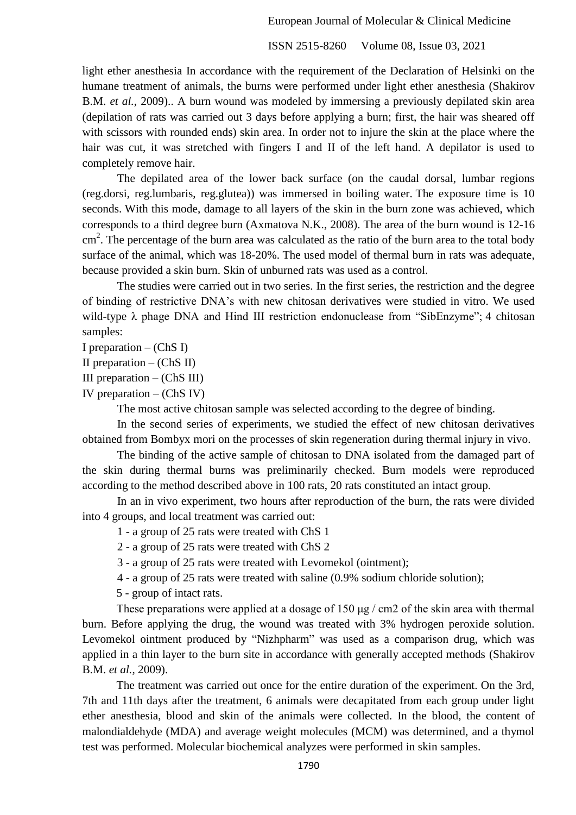ISSN 2515-8260 Volume 08, Issue 03, 2021

light ether anesthesia In accordance with the requirement of the Declaration of Helsinki on the humane treatment of animals, the burns were performed under light ether anesthesia (Shakirov B.M. *et al.*, 2009).. A burn wound was modeled by immersing a previously depilated skin area (depilation of rats was carried out 3 days before applying a burn; first, the hair was sheared off with scissors with rounded ends) skin area. In order not to injure the skin at the place where the hair was cut, it was stretched with fingers I and II of the left hand. A depilator is used to completely remove hair.

The depilated area of the lower back surface (on the caudal dorsal, lumbar regions (reg.dorsi, reg.lumbaris, reg.glutea)) was immersed in boiling water. The exposure time is 10 seconds. With this mode, damage to all layers of the skin in the burn zone was achieved, which corresponds to a third degree burn (Axmatova N.K., 2008). The area of the burn wound is 12-16 cm<sup>2</sup>. The percentage of the burn area was calculated as the ratio of the burn area to the total body surface of the animal, which was 18-20%. The used model of thermal burn in rats was adequate, because provided a skin burn. Skin of unburned rats was used as a control.

The studies were carried out in two series. In the first series, the restriction and the degree of binding of restrictive DNA's with new chitosan derivatives were studied in vitro. We used wild-type λ phage DNA and Hind III restriction endonuclease from "SibEnzyme"; 4 chitosan samples:

I preparation  $-$  (ChS I)

II preparation  $-$  (ChS II)

III preparation  $-$  (ChS III)

IV preparation  $-$  (ChS IV)

The most active chitosan sample was selected according to the degree of binding.

In the second series of experiments, we studied the effect of new chitosan derivatives obtained from Bombyx mori on the processes of skin regeneration during thermal injury in vivo.

The binding of the active sample of chitosan to DNA isolated from the damaged part of the skin during thermal burns was preliminarily checked. Burn models were reproduced according to the method described above in 100 rats, 20 rats constituted an intact group.

In an in vivo experiment, two hours after reproduction of the burn, the rats were divided into 4 groups, and local treatment was carried out:

1 - a group of 25 rats were treated with ChS 1

2 - a group of 25 rats were treated with ChS 2

3 - a group of 25 rats were treated with Levomekol (ointment);

4 - a group of 25 rats were treated with saline (0.9% sodium chloride solution);

5 - group of intact rats.

These preparations were applied at a dosage of 150 μg / cm2 of the skin area with thermal burn. Before applying the drug, the wound was treated with 3% hydrogen peroxide solution. Levomekol ointment produced by "Nizhpharm" was used as a comparison drug, which was applied in a thin layer to the burn site in accordance with generally accepted methods [\(Shakirov](https://www.scopus.com/authid/detail.uri?origin=resultslist&authorId=8911963800&zone=) [B.M.](https://www.scopus.com/authid/detail.uri?origin=resultslist&authorId=8911963800&zone=) *et al.*, 2009).

The treatment was carried out once for the entire duration of the experiment. On the 3rd, 7th and 11th days after the treatment, 6 animals were decapitated from each group under light ether anesthesia, blood and skin of the animals were collected. In the blood, the content of malondialdehyde (MDA) and average weight molecules (MCM) was determined, and a thymol test was performed. Molecular biochemical analyzes were performed in skin samples.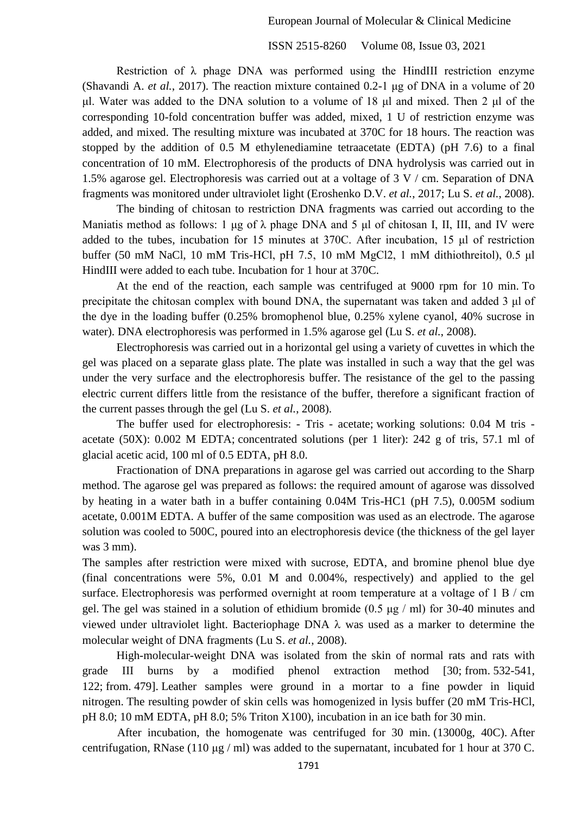Restriction of  $\lambda$  phage DNA was performed using the HindIII restriction enzyme (Shavandi A. *et al.*, 2017). The reaction mixture contained 0.2-1 μg of DNA in a volume of 20 μl. Water was added to the DNA solution to a volume of 18 μl and mixed. Then 2 μl of the corresponding 10-fold concentration buffer was added, mixed, 1 U of restriction enzyme was added, and mixed. The resulting mixture was incubated at 370C for 18 hours. The reaction was stopped by the addition of 0.5 M ethylenediamine tetraacetate (EDTA) (pH 7.6) to a final concentration of 10 mM. Electrophoresis of the products of DNA hydrolysis was carried out in 1.5% agarose gel. Electrophoresis was carried out at a voltage of 3 V / cm. Separation of DNA fragments was monitored under ultraviolet light (Eroshenko D.V. *et al.*, 2017; Lu S. *et al.*, 2008).

The binding of chitosan to restriction DNA fragments was carried out according to the Maniatis method as follows: 1 μg of  $\lambda$  phage DNA and 5 μl of chitosan I, II, III, and IV were added to the tubes, incubation for 15 minutes at 370C. After incubation, 15 μl of restriction buffer (50 mM NaCl, 10 mM Tris-HCl, pH 7.5, 10 mM MgCl2, 1 mM dithiothreitol), 0.5 μl HindIII were added to each tube. Incubation for 1 hour at 370C.

At the end of the reaction, each sample was centrifuged at 9000 rpm for 10 min. To precipitate the chitosan complex with bound DNA, the supernatant was taken and added 3 μl of the dye in the loading buffer (0.25% bromophenol blue, 0.25% xylene cyanol, 40% sucrose in water). DNA electrophoresis was performed in 1.5% agarose gel (Lu S. *et al.*, 2008).

Electrophoresis was carried out in a horizontal gel using a variety of cuvettes in which the gel was placed on a separate glass plate. The plate was installed in such a way that the gel was under the very surface and the electrophoresis buffer. The resistance of the gel to the passing electric current differs little from the resistance of the buffer, therefore a significant fraction of the current passes through the gel (Lu S. *et al.*, 2008).

The buffer used for electrophoresis: - Tris - acetate; working solutions: 0.04 M tris acetate (50X): 0.002 M EDTA; concentrated solutions (per 1 liter): 242 g of tris, 57.1 ml of glacial acetic acid, 100 ml of 0.5 EDTA, pH 8.0.

Fractionation of DNA preparations in agarose gel was carried out according to the Sharp method. The agarose gel was prepared as follows: the required amount of agarose was dissolved by heating in a water bath in a buffer containing 0.04M Tris-HC1 (pH 7.5), 0.005M sodium acetate, 0.001M EDTA. A buffer of the same composition was used as an electrode. The agarose solution was cooled to 500C, poured into an electrophoresis device (the thickness of the gel layer was 3 mm).

The samples after restriction were mixed with sucrose, EDTA, and bromine phenol blue dye (final concentrations were 5%, 0.01 M and 0.004%, respectively) and applied to the gel surface. Electrophoresis was performed overnight at room temperature at a voltage of 1 B / cm gel. The gel was stained in a solution of ethidium bromide (0.5 μg / ml) for 30-40 minutes and viewed under ultraviolet light. Bacteriophage DNA  $\lambda$  was used as a marker to determine the molecular weight of DNA fragments (Lu S. *et al.*, 2008).

High-molecular-weight DNA was isolated from the skin of normal rats and rats with grade III burns by a modified phenol extraction method [30; from. 532-541, 122; from. 479]. Leather samples were ground in a mortar to a fine powder in liquid nitrogen. The resulting powder of skin cells was homogenized in lysis buffer (20 mM Tris-HCl, pH 8.0; 10 mM EDTA, pH 8.0; 5% Triton X100), incubation in an ice bath for 30 min.

After incubation, the homogenate was centrifuged for 30 min. (13000g, 40C). After centrifugation, RNase (110 μg / ml) was added to the supernatant, incubated for 1 hour at 370 C.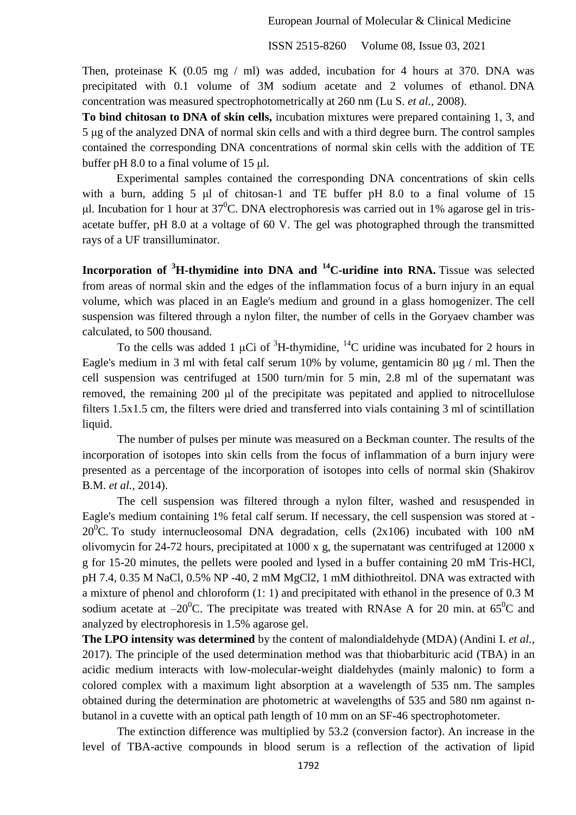Then, proteinase K (0.05 mg / ml) was added, incubation for 4 hours at 370. DNA was precipitated with 0.1 volume of 3M sodium acetate and 2 volumes of ethanol. DNA concentration was measured spectrophotometrically at 260 nm (Lu S. *et al.*, 2008).

**To bind chitosan to DNA of skin cells,** incubation mixtures were prepared containing 1, 3, and 5 μg of the analyzed DNA of normal skin cells and with a third degree burn. The control samples contained the corresponding DNA concentrations of normal skin cells with the addition of TE buffer pH 8.0 to a final volume of 15 μl.

Experimental samples contained the corresponding DNA concentrations of skin cells with a burn, adding 5 μl of chitosan-1 and TE buffer pH 8.0 to a final volume of 15 ul. Incubation for 1 hour at  $37^0C$ . DNA electrophoresis was carried out in 1% agarose gel in trisacetate buffer, pH 8.0 at a voltage of 60 V. The gel was photographed through the transmitted rays of a UF transilluminator.

**Incorporation of <sup>3</sup>H-thymidine into DNA and <sup>14</sup>C-uridine into RNA.** Tissue was selected from areas of normal skin and the edges of the inflammation focus of a burn injury in an equal volume, which was placed in an Eagle's medium and ground in a glass homogenizer. The cell suspension was filtered through a nylon filter, the number of cells in the Goryaev chamber was calculated, to 500 thousand.

To the cells was added 1 µCi of  ${}^{3}H$ -thymidine,  ${}^{14}C$  uridine was incubated for 2 hours in Eagle's medium in 3 ml with fetal calf serum 10% by volume, gentamicin 80 μg / ml. Then the cell suspension was centrifuged at 1500 turn/min for 5 min, 2.8 ml of the supernatant was removed, the remaining 200 μl of the precipitate was pepitated and applied to nitrocellulose filters 1.5x1.5 cm, the filters were dried and transferred into vials containing 3 ml of scintillation liquid.

The number of pulses per minute was measured on a Beckman counter. The results of the incorporation of isotopes into skin cells from the focus of inflammation of a burn injury were presented as a percentage of the incorporation of isotopes into cells of normal skin [\(Shakirov](https://www.scopus.com/authid/detail.uri?origin=resultslist&authorId=8911963800&zone=)  [B.M.](https://www.scopus.com/authid/detail.uri?origin=resultslist&authorId=8911963800&zone=) *et al.*, 2014).

The cell suspension was filtered through a nylon filter, washed and resuspended in Eagle's medium containing 1% fetal calf serum. If necessary, the cell suspension was stored at -  $20^{\circ}$ C. To study internucleosomal DNA degradation, cells (2x106) incubated with 100 nM olivomycin for 24-72 hours, precipitated at 1000 x g, the supernatant was centrifuged at 12000 x g for 15-20 minutes, the pellets were pooled and lysed in a buffer containing 20 mM Tris-HCl, pH 7.4, 0.35 M NaCl, 0.5% NP -40, 2 mM MgCl2, 1 mM dithiothreitol. DNA was extracted with a mixture of phenol and chloroform (1: 1) and precipitated with ethanol in the presence of 0.3 M sodium acetate at  $-20^0$ C. The precipitate was treated with RNAse A for 20 min. at  $65^0$ C and analyzed by electrophoresis in 1.5% agarose gel.

**The LPO intensity was determined** by the content of malondialdehyde (MDA) (Andini I. *et al.*, 2017). The principle of the used determination method was that thiobarbituric acid (TBA) in an acidic medium interacts with low-molecular-weight dialdehydes (mainly malonic) to form a colored complex with a maximum light absorption at a wavelength of 535 nm. The samples obtained during the determination are photometric at wavelengths of 535 and 580 nm against nbutanol in a cuvette with an optical path length of 10 mm on an SF-46 spectrophotometer.

The extinction difference was multiplied by 53.2 (conversion factor). An increase in the level of TBA-active compounds in blood serum is a reflection of the activation of lipid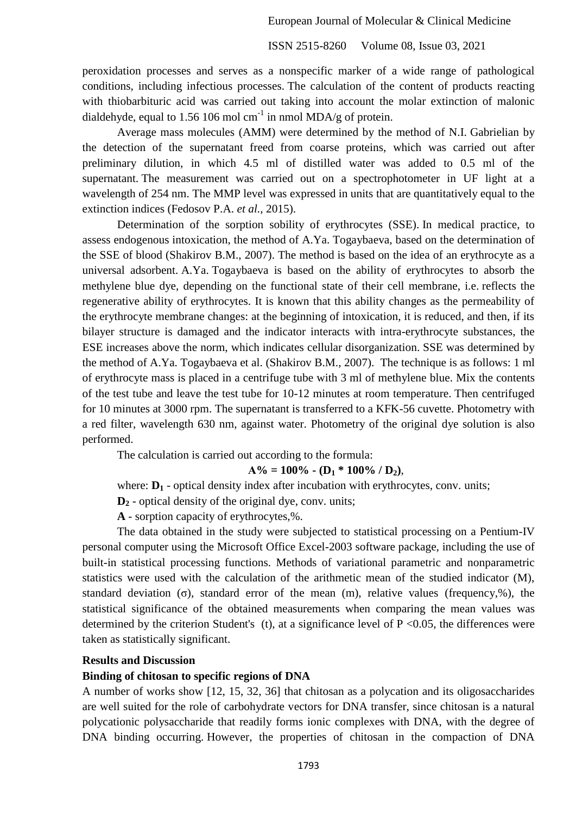peroxidation processes and serves as a nonspecific marker of a wide range of pathological conditions, including infectious processes. The calculation of the content of products reacting with thiobarbituric acid was carried out taking into account the molar extinction of malonic dialdehyde, equal to 1.56 106 mol cm<sup>-1</sup> in nmol MDA/g of protein.

Average mass molecules (AMM) were determined by the method of N.I. Gabrielian by the detection of the supernatant freed from coarse proteins, which was carried out after preliminary dilution, in which 4.5 ml of distilled water was added to 0.5 ml of the supernatant. The measurement was carried out on a spectrophotometer in UF light at a wavelength of 254 nm. The MMP level was expressed in units that are quantitatively equal to the extinction indices (Fedosov P.A. *et al.*, 2015).

Determination of the sorption sobility of erythrocytes (SSE). In medical practice, to assess endogenous intoxication, the method of A.Ya. Togaybaeva, based on the determination of the SSE of blood [\(Shakirov](https://www.scopus.com/authid/detail.uri?origin=resultslist&authorId=8911963800&zone=) B.M., 2007). The method is based on the idea of an erythrocyte as a universal adsorbent. A.Ya. Togaybaeva is based on the ability of erythrocytes to absorb the methylene blue dye, depending on the functional state of their cell membrane, i.e. reflects the regenerative ability of erythrocytes. It is known that this ability changes as the permeability of the erythrocyte membrane changes: at the beginning of intoxication, it is reduced, and then, if its bilayer structure is damaged and the indicator interacts with intra-erythrocyte substances, the ESE increases above the norm, which indicates cellular disorganization. SSE was determined by the method of A.Ya. Togaybaeva et al. [\(Shakirov](https://www.scopus.com/authid/detail.uri?origin=resultslist&authorId=8911963800&zone=) B.M., 2007). The technique is as follows: 1 ml of erythrocyte mass is placed in a centrifuge tube with 3 ml of methylene blue. Mix the contents of the test tube and leave the test tube for 10-12 minutes at room temperature. Then centrifuged for 10 minutes at 3000 rpm. The supernatant is transferred to a KFK-56 cuvette. Photometry with a red filter, wavelength 630 nm, against water. Photometry of the original dye solution is also performed.

The calculation is carried out according to the formula:

$$
A\% = 100\% - (D_1 * 100\% / D_2),
$$

where:  $D_1$  - optical density index after incubation with erythrocytes, conv. units;

**D<sup>2</sup>** - optical density of the original dye, conv. units;

**A** - sorption capacity of erythrocytes,%.

The data obtained in the study were subjected to statistical processing on a Pentium-IV personal computer using the Microsoft Office Excel-2003 software package, including the use of built-in statistical processing functions. Methods of variational parametric and nonparametric statistics were used with the calculation of the arithmetic mean of the studied indicator (M), standard deviation (σ), standard error of the mean (m), relative values (frequency, %), the statistical significance of the obtained measurements when comparing the mean values was determined by the criterion Student's (t), at a significance level of  $P \le 0.05$ , the differences were taken as statistically significant.

### **Results and Discussion**

#### **Binding of chitosan to specific regions of DNA**

A number of works show [12, 15, 32, 36] that chitosan as a polycation and its oligosaccharides are well suited for the role of carbohydrate vectors for DNA transfer, since chitosan is a natural polycationic polysaccharide that readily forms ionic complexes with DNA, with the degree of DNA binding occurring. However, the properties of chitosan in the compaction of DNA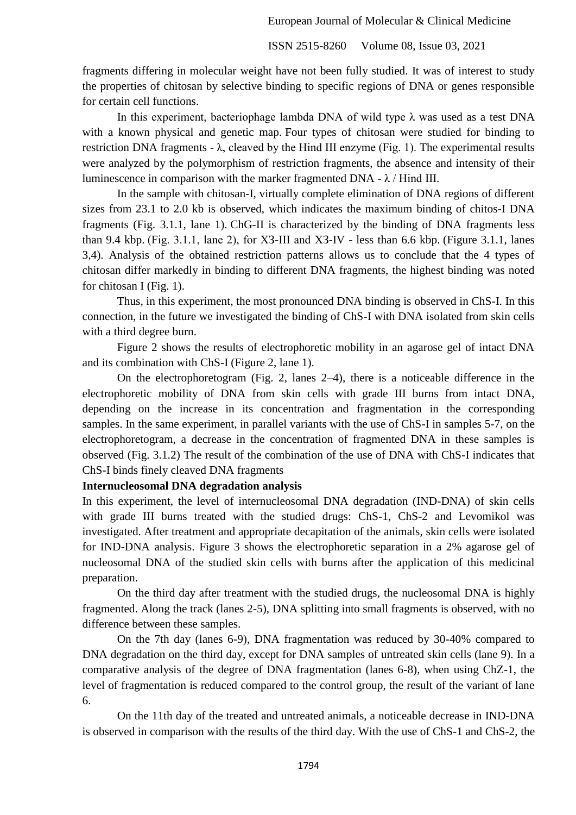fragments differing in molecular weight have not been fully studied. It was of interest to study the properties of chitosan by selective binding to specific regions of DNA or genes responsible for certain cell functions.

In this experiment, bacteriophage lambda DNA of wild type  $\lambda$  was used as a test DNA with a known physical and genetic map. Four types of chitosan were studied for binding to restriction DNA fragments - λ, cleaved by the Hind III enzyme (Fig. 1). The experimental results were analyzed by the polymorphism of restriction fragments, the absence and intensity of their luminescence in comparison with the marker fragmented DNA -  $\lambda$  / Hind III.

In the sample with chitosan-I, virtually complete elimination of DNA regions of different sizes from 23.1 to 2.0 kb is observed, which indicates the maximum binding of chitos-I DNA fragments (Fig. 3.1.1, lane 1). ChG-II is characterized by the binding of DNA fragments less than 9.4 kbp. (Fig. 3.1.1, lane 2), for ХЗ-III and ХЗ-IV - less than 6.6 kbp. (Figure 3.1.1, lanes 3,4). Analysis of the obtained restriction patterns allows us to conclude that the 4 types of chitosan differ markedly in binding to different DNA fragments, the highest binding was noted for chitosan I (Fig. 1).

Thus, in this experiment, the most pronounced DNA binding is observed in ChS-I. In this connection, in the future we investigated the binding of ChS-I with DNA isolated from skin cells with a third degree burn.

Figure 2 shows the results of electrophoretic mobility in an agarose gel of intact DNA and its combination with ChS-I (Figure 2, lane 1).

On the electrophoretogram (Fig. 2, lanes 2–4), there is a noticeable difference in the electrophoretic mobility of DNA from skin cells with grade III burns from intact DNA, depending on the increase in its concentration and fragmentation in the corresponding samples. In the same experiment, in parallel variants with the use of ChS-I in samples 5-7, on the electrophoretogram, a decrease in the concentration of fragmented DNA in these samples is observed (Fig. 3.1.2) The result of the combination of the use of DNA with ChS-I indicates that ChS-I binds finely cleaved DNA fragments

# **Internucleosomal DNA degradation analysis**

In this experiment, the level of internucleosomal DNA degradation (IND-DNA) of skin cells with grade III burns treated with the studied drugs: ChS-1, ChS-2 and Levomikol was investigated. After treatment and appropriate decapitation of the animals, skin cells were isolated for IND-DNA analysis. Figure 3 shows the electrophoretic separation in a 2% agarose gel of nucleosomal DNA of the studied skin cells with burns after the application of this medicinal preparation.

On the third day after treatment with the studied drugs, the nucleosomal DNA is highly fragmented. Along the track (lanes 2-5), DNA splitting into small fragments is observed, with no difference between these samples.

On the 7th day (lanes 6-9), DNA fragmentation was reduced by 30-40% compared to DNA degradation on the third day, except for DNA samples of untreated skin cells (lane 9). In a comparative analysis of the degree of DNA fragmentation (lanes 6-8), when using ChZ-1, the level of fragmentation is reduced compared to the control group, the result of the variant of lane 6.

On the 11th day of the treated and untreated animals, a noticeable decrease in IND-DNA is observed in comparison with the results of the third day. With the use of ChS-1 and ChS-2, the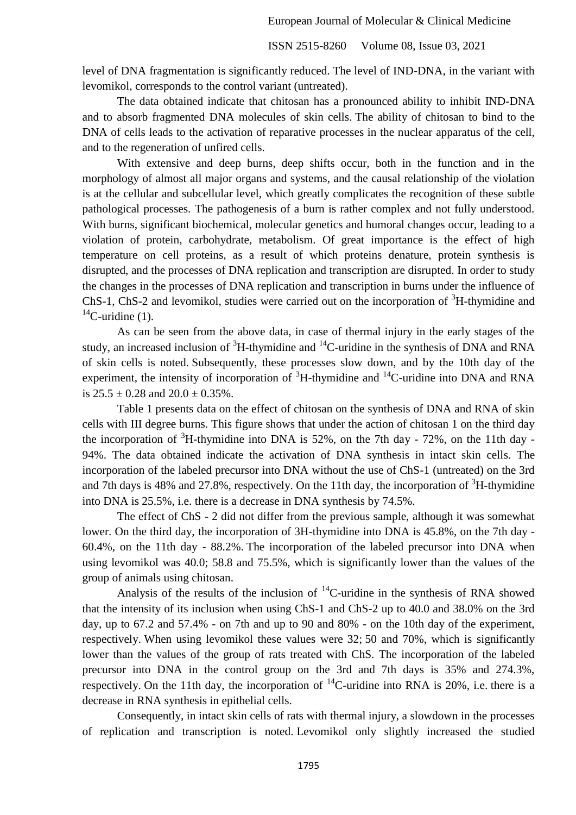level of DNA fragmentation is significantly reduced. The level of IND-DNA, in the variant with levomikol, corresponds to the control variant (untreated).

The data obtained indicate that chitosan has a pronounced ability to inhibit IND-DNA and to absorb fragmented DNA molecules of skin cells. The ability of chitosan to bind to the DNA of cells leads to the activation of reparative processes in the nuclear apparatus of the cell, and to the regeneration of unfired cells.

With extensive and deep burns, deep shifts occur, both in the function and in the morphology of almost all major organs and systems, and the causal relationship of the violation is at the cellular and subcellular level, which greatly complicates the recognition of these subtle pathological processes. The pathogenesis of a burn is rather complex and not fully understood. With burns, significant biochemical, molecular genetics and humoral changes occur, leading to a violation of protein, carbohydrate, metabolism. Of great importance is the effect of high temperature on cell proteins, as a result of which proteins denature, protein synthesis is disrupted, and the processes of DNA replication and transcription are disrupted. In order to study the changes in the processes of DNA replication and transcription in burns under the influence of ChS-1, ChS-2 and levomikol, studies were carried out on the incorporation of  ${}^{3}H$ -thymidine and  $^{14}$ C-uridine (1).

As can be seen from the above data, in case of thermal injury in the early stages of the study, an increased inclusion of  ${}^{3}$ H-thymidine and  ${}^{14}$ C-uridine in the synthesis of DNA and RNA of skin cells is noted. Subsequently, these processes slow down, and by the 10th day of the experiment, the intensity of incorporation of  ${}^{3}H$ -thymidine and  ${}^{14}C$ -uridine into DNA and RNA is  $25.5 \pm 0.28$  and  $20.0 \pm 0.35\%$ .

Table 1 presents data on the effect of chitosan on the synthesis of DNA and RNA of skin cells with III degree burns. This figure shows that under the action of chitosan 1 on the third day the incorporation of  ${}^{3}H$ -thymidine into DNA is 52%, on the 7th day - 72%, on the 11th day -94%. The data obtained indicate the activation of DNA synthesis in intact skin cells. The incorporation of the labeled precursor into DNA without the use of ChS-1 (untreated) on the 3rd and 7th days is 48% and 27.8%, respectively. On the 11th day, the incorporation of  ${}^{3}H$ -thymidine into DNA is 25.5%, i.e. there is a decrease in DNA synthesis by 74.5%.

The effect of ChS - 2 did not differ from the previous sample, although it was somewhat lower. On the third day, the incorporation of 3H-thymidine into DNA is 45.8%, on the 7th day - 60.4%, on the 11th day - 88.2%. The incorporation of the labeled precursor into DNA when using levomikol was 40.0; 58.8 and 75.5%, which is significantly lower than the values of the group of animals using chitosan.

Analysis of the results of the inclusion of  $^{14}$ C-uridine in the synthesis of RNA showed that the intensity of its inclusion when using ChS-1 and ChS-2 up to 40.0 and 38.0% on the 3rd day, up to 67.2 and 57.4% - on 7th and up to 90 and 80% - on the 10th day of the experiment, respectively. When using levomikol these values were 32; 50 and 70%, which is significantly lower than the values of the group of rats treated with ChS. The incorporation of the labeled precursor into DNA in the control group on the 3rd and 7th days is 35% and 274.3%, respectively. On the 11th day, the incorporation of  $^{14}$ C-uridine into RNA is 20%, i.e. there is a decrease in RNA synthesis in epithelial cells.

Consequently, in intact skin cells of rats with thermal injury, a slowdown in the processes of replication and transcription is noted. Levomikol only slightly increased the studied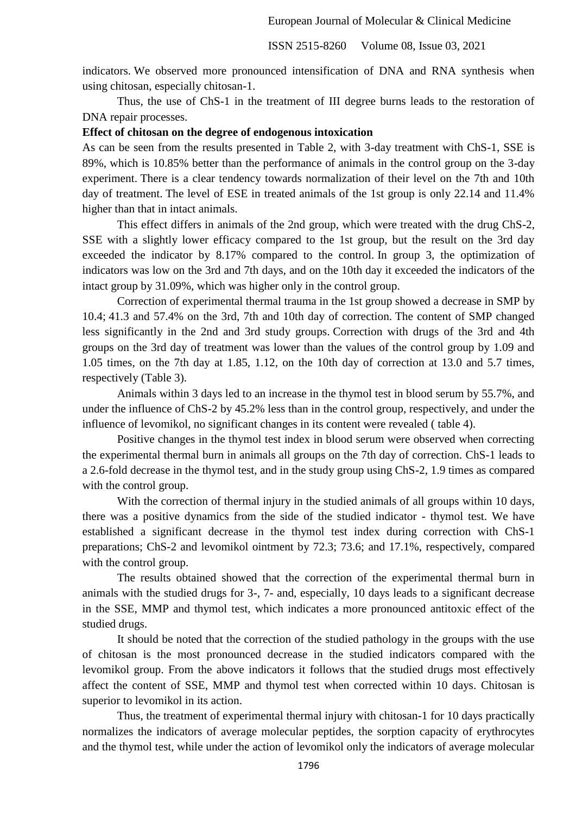indicators. We observed more pronounced intensification of DNA and RNA synthesis when using chitosan, especially chitosan-1.

Thus, the use of ChS-1 in the treatment of III degree burns leads to the restoration of DNA repair processes.

#### **Effect of chitosan on the degree of endogenous intoxication**

As can be seen from the results presented in Table 2, with 3-day treatment with ChS-1, SSE is 89%, which is 10.85% better than the performance of animals in the control group on the 3-day experiment. There is a clear tendency towards normalization of their level on the 7th and 10th day of treatment. The level of ESE in treated animals of the 1st group is only 22.14 and 11.4% higher than that in intact animals.

This effect differs in animals of the 2nd group, which were treated with the drug ChS-2, SSE with a slightly lower efficacy compared to the 1st group, but the result on the 3rd day exceeded the indicator by 8.17% compared to the control. In group 3, the optimization of indicators was low on the 3rd and 7th days, and on the 10th day it exceeded the indicators of the intact group by 31.09%, which was higher only in the control group.

Correction of experimental thermal trauma in the 1st group showed a decrease in SMP by 10.4; 41.3 and 57.4% on the 3rd, 7th and 10th day of correction. The content of SMP changed less significantly in the 2nd and 3rd study groups. Correction with drugs of the 3rd and 4th groups on the 3rd day of treatment was lower than the values of the control group by 1.09 and 1.05 times, on the 7th day at 1.85, 1.12, on the 10th day of correction at 13.0 and 5.7 times, respectively (Table 3).

Animals within 3 days led to an increase in the thymol test in blood serum by 55.7%, and under the influence of ChS-2 by 45.2% less than in the control group, respectively, and under the influence of levomikol, no significant changes in its content were revealed ( table 4).

Positive changes in the thymol test index in blood serum were observed when correcting the experimental thermal burn in animals all groups on the 7th day of correction. ChS-1 leads to a 2.6-fold decrease in the thymol test, and in the study group using ChS-2, 1.9 times as compared with the control group.

With the correction of thermal injury in the studied animals of all groups within 10 days, there was a positive dynamics from the side of the studied indicator - thymol test. We have established a significant decrease in the thymol test index during correction with ChS-1 preparations; ChS-2 and levomikol ointment by 72.3; 73.6; and 17.1%, respectively, compared with the control group.

The results obtained showed that the correction of the experimental thermal burn in animals with the studied drugs for 3-, 7- and, especially, 10 days leads to a significant decrease in the SSE, MMP and thymol test, which indicates a more pronounced antitoxic effect of the studied drugs.

It should be noted that the correction of the studied pathology in the groups with the use of chitosan is the most pronounced decrease in the studied indicators compared with the levomikol group. From the above indicators it follows that the studied drugs most effectively affect the content of SSE, MMP and thymol test when corrected within 10 days. Chitosan is superior to levomikol in its action.

Thus, the treatment of experimental thermal injury with chitosan-1 for 10 days practically normalizes the indicators of average molecular peptides, the sorption capacity of erythrocytes and the thymol test, while under the action of levomikol only the indicators of average molecular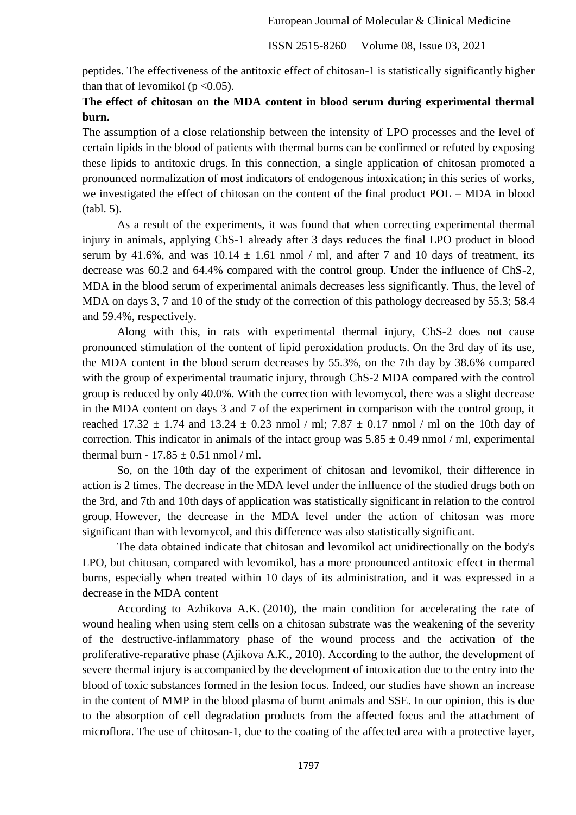peptides. The effectiveness of the antitoxic effect of chitosan-1 is statistically significantly higher than that of levomikol ( $p < 0.05$ ).

# **The effect of chitosan on the MDA content in blood serum during experimental thermal burn.**

The assumption of a close relationship between the intensity of LPO processes and the level of certain lipids in the blood of patients with thermal burns can be confirmed or refuted by exposing these lipids to antitoxic drugs. In this connection, a single application of chitosan promoted a pronounced normalization of most indicators of endogenous intoxication; in this series of works, we investigated the effect of chitosan on the content of the final product POL – MDA in blood (tabl. 5).

As a result of the experiments, it was found that when correcting experimental thermal injury in animals, applying ChS-1 already after 3 days reduces the final LPO product in blood serum by 41.6%, and was  $10.14 \pm 1.61$  nmol / ml, and after 7 and 10 days of treatment, its decrease was 60.2 and 64.4% compared with the control group. Under the influence of ChS-2, MDA in the blood serum of experimental animals decreases less significantly. Thus, the level of MDA on days 3, 7 and 10 of the study of the correction of this pathology decreased by 55.3; 58.4 and 59.4%, respectively.

Along with this, in rats with experimental thermal injury, ChS-2 does not cause pronounced stimulation of the content of lipid peroxidation products. On the 3rd day of its use, the MDA content in the blood serum decreases by 55.3%, on the 7th day by 38.6% compared with the group of experimental traumatic injury, through ChS-2 MDA compared with the control group is reduced by only 40.0%. With the correction with levomycol, there was a slight decrease in the MDA content on days 3 and 7 of the experiment in comparison with the control group, it reached  $17.32 \pm 1.74$  and  $13.24 \pm 0.23$  nmol / ml;  $7.87 \pm 0.17$  nmol / ml on the 10th day of correction. This indicator in animals of the intact group was  $5.85 \pm 0.49$  nmol / ml, experimental thermal burn -  $17.85 \pm 0.51$  nmol / ml.

So, on the 10th day of the experiment of chitosan and levomikol, their difference in action is 2 times. The decrease in the MDA level under the influence of the studied drugs both on the 3rd, and 7th and 10th days of application was statistically significant in relation to the control group. However, the decrease in the MDA level under the action of chitosan was more significant than with levomycol, and this difference was also statistically significant.

The data obtained indicate that chitosan and levomikol act unidirectionally on the body's LPO, but chitosan, compared with levomikol, has a more pronounced antitoxic effect in thermal burns, especially when treated within 10 days of its administration, and it was expressed in a decrease in the MDA content

According to Azhikova A.K. (2010), the main condition for accelerating the rate of wound healing when using stem cells on a chitosan substrate was the weakening of the severity of the destructive-inflammatory phase of the wound process and the activation of the proliferative-reparative phase (Ajikova A.K., 2010). According to the author, the development of severe thermal injury is accompanied by the development of intoxication due to the entry into the blood of toxic substances formed in the lesion focus. Indeed, our studies have shown an increase in the content of MMP in the blood plasma of burnt animals and SSE. In our opinion, this is due to the absorption of cell degradation products from the affected focus and the attachment of microflora. The use of chitosan-1, due to the coating of the affected area with a protective layer,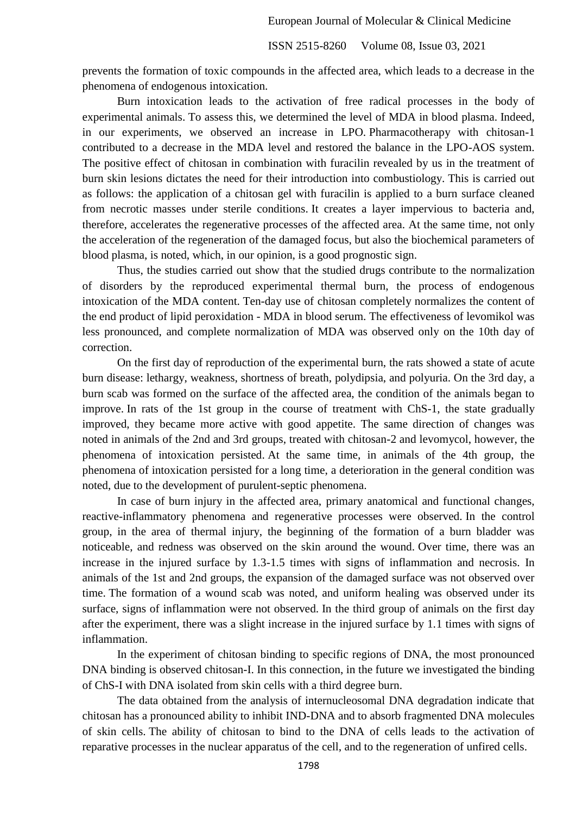prevents the formation of toxic compounds in the affected area, which leads to a decrease in the phenomena of endogenous intoxication.

Burn intoxication leads to the activation of free radical processes in the body of experimental animals. To assess this, we determined the level of MDA in blood plasma. Indeed, in our experiments, we observed an increase in LPO. Pharmacotherapy with chitosan-1 contributed to a decrease in the MDA level and restored the balance in the LPO-AOS system. The positive effect of chitosan in combination with furacilin revealed by us in the treatment of burn skin lesions dictates the need for their introduction into combustiology. This is carried out as follows: the application of a chitosan gel with furacilin is applied to a burn surface cleaned from necrotic masses under sterile conditions. It creates a layer impervious to bacteria and, therefore, accelerates the regenerative processes of the affected area. At the same time, not only the acceleration of the regeneration of the damaged focus, but also the biochemical parameters of blood plasma, is noted, which, in our opinion, is a good prognostic sign.

Thus, the studies carried out show that the studied drugs contribute to the normalization of disorders by the reproduced experimental thermal burn, the process of endogenous intoxication of the MDA content. Ten-day use of chitosan completely normalizes the content of the end product of lipid peroxidation - MDA in blood serum. The effectiveness of levomikol was less pronounced, and complete normalization of MDA was observed only on the 10th day of correction.

On the first day of reproduction of the experimental burn, the rats showed a state of acute burn disease: lethargy, weakness, shortness of breath, polydipsia, and polyuria. On the 3rd day, a burn scab was formed on the surface of the affected area, the condition of the animals began to improve. In rats of the 1st group in the course of treatment with ChS-1, the state gradually improved, they became more active with good appetite. The same direction of changes was noted in animals of the 2nd and 3rd groups, treated with chitosan-2 and levomycol, however, the phenomena of intoxication persisted. At the same time, in animals of the 4th group, the phenomena of intoxication persisted for a long time, a deterioration in the general condition was noted, due to the development of purulent-septic phenomena.

In case of burn injury in the affected area, primary anatomical and functional changes, reactive-inflammatory phenomena and regenerative processes were observed. In the control group, in the area of thermal injury, the beginning of the formation of a burn bladder was noticeable, and redness was observed on the skin around the wound. Over time, there was an increase in the injured surface by 1.3-1.5 times with signs of inflammation and necrosis. In animals of the 1st and 2nd groups, the expansion of the damaged surface was not observed over time. The formation of a wound scab was noted, and uniform healing was observed under its surface, signs of inflammation were not observed. In the third group of animals on the first day after the experiment, there was a slight increase in the injured surface by 1.1 times with signs of inflammation.

In the experiment of chitosan binding to specific regions of DNA, the most pronounced DNA binding is observed chitosan-I. In this connection, in the future we investigated the binding of ChS-I with DNA isolated from skin cells with a third degree burn.

The data obtained from the analysis of internucleosomal DNA degradation indicate that chitosan has a pronounced ability to inhibit IND-DNA and to absorb fragmented DNA molecules of skin cells. The ability of chitosan to bind to the DNA of cells leads to the activation of reparative processes in the nuclear apparatus of the cell, and to the regeneration of unfired cells.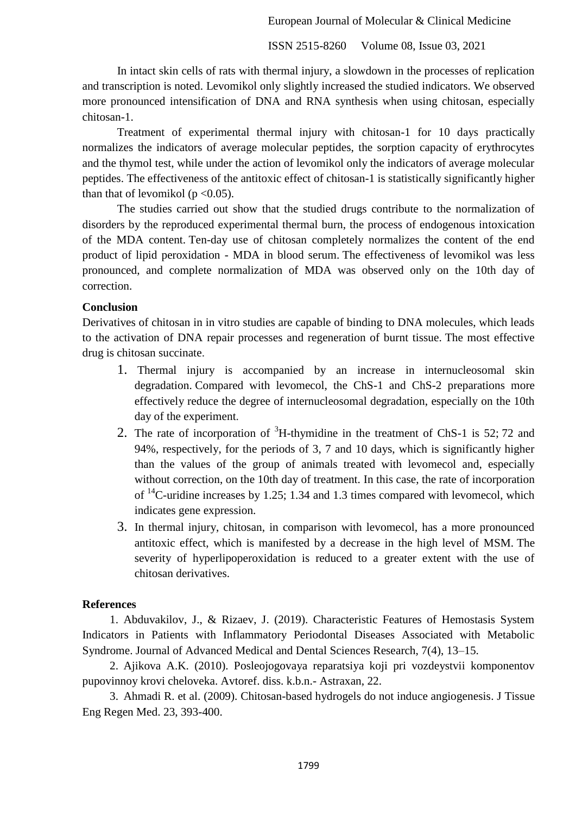ISSN 2515-8260 Volume 08, Issue 03, 2021

In intact skin cells of rats with thermal injury, a slowdown in the processes of replication and transcription is noted. Levomikol only slightly increased the studied indicators. We observed more pronounced intensification of DNA and RNA synthesis when using chitosan, especially chitosan-1.

Treatment of experimental thermal injury with chitosan-1 for 10 days practically normalizes the indicators of average molecular peptides, the sorption capacity of erythrocytes and the thymol test, while under the action of levomikol only the indicators of average molecular peptides. The effectiveness of the antitoxic effect of chitosan-1 is statistically significantly higher than that of levomikol ( $p < 0.05$ ).

The studies carried out show that the studied drugs contribute to the normalization of disorders by the reproduced experimental thermal burn, the process of endogenous intoxication of the MDA content. Ten-day use of chitosan completely normalizes the content of the end product of lipid peroxidation - MDA in blood serum. The effectiveness of levomikol was less pronounced, and complete normalization of MDA was observed only on the 10th day of correction.

# **Conclusion**

Derivatives of chitosan in in vitro studies are capable of binding to DNA molecules, which leads to the activation of DNA repair processes and regeneration of burnt tissue. The most effective drug is chitosan succinate.

- 1. Thermal injury is accompanied by an increase in internucleosomal skin degradation. Compared with levomecol, the ChS-1 and ChS-2 preparations more effectively reduce the degree of internucleosomal degradation, especially on the 10th day of the experiment.
- 2. The rate of incorporation of <sup>3</sup>H-thymidine in the treatment of ChS-1 is 52; 72 and 94%, respectively, for the periods of 3, 7 and 10 days, which is significantly higher than the values of the group of animals treated with levomecol and, especially without correction, on the 10th day of treatment. In this case, the rate of incorporation of  $^{14}$ C-uridine increases by 1.25; 1.34 and 1.3 times compared with levomecol, which indicates gene expression.
- 3. In thermal injury, chitosan, in comparison with levomecol, has a more pronounced antitoxic effect, which is manifested by a decrease in the high level of MSM. The severity of hyperlipoperoxidation is reduced to a greater extent with the use of chitosan derivatives.

# **References**

1. Abduvakilov, J., & Rizaev, J. (2019). Characteristic Features of Hemostasis System Indicators in Patients with Inflammatory Periodontal Diseases Associated with Metabolic Syndrome. Journal of Advanced Medical and Dental Sciences Research, 7(4), 13–15.

2. Ajikova A.K. (2010). Posleojogovaya reparatsiya koji pri vozdeystvii komponentov pupovinnoy krovi cheloveka. Avtoref. diss. k.b.n.- Astraxan, 22.

3. Ahmadi R. et al. (2009). Chitosan-based hydrogels do not induce angiogenesis. J Tissue Eng Regen Med. 23, 393-400.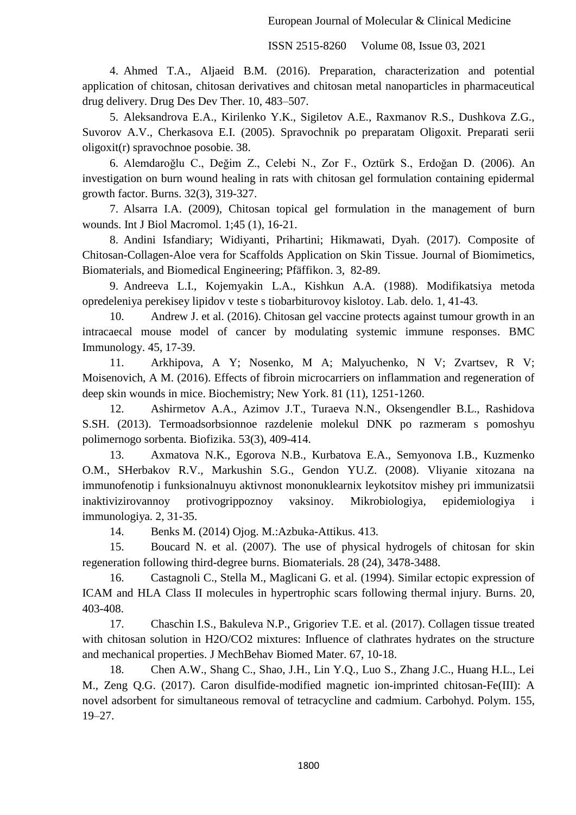4. Ahmed T.A., Aljaeid B.M. (2016). Preparation, characterization and potential application of chitosan, chitosan derivatives and chitosan metal nanoparticles in pharmaceutical drug delivery. Drug Des Dev Ther. 10, 483–507.

5. Aleksandrova E.A., Kirilenko Y.K., Sigiletov A.E., Raxmanov R.S., Dushkova Z.G., Suvorov A.V., Cherkasova E.I. (2005). Spravochnik po preparatam Oligoxit. Preparati serii oligoxit(r) spravochnoe posobie. 38.

6. Alemdaroğlu C., Değim Z., Celebi N., Zor F., Oztürk S., Erdoğan D. (2006). An investigation on burn wound healing in rats with chitosan gel formulation containing epidermal growth factor. Burns. 32(3), 319-327.

7. Alsarra I.A. (2009), Chitosan topical gel formulation in the management of burn wounds. Int J Biol Macromol. 1;45 (1), 16-21.

8. Andini Isfandiary; Widiyanti, Prihartini; Hikmawati, Dyah. (2017). Composite of Chitosan-Collagen-Aloe vera for Scaffolds Application on Skin Tissue. Journal of Biomimetics, Biomaterials, and Biomedical Engineering; Pfäffikon. 3, 82-89.

9. Andreeva L.I., Kojemyakin L.A., Kishkun A.A. (1988). Modifikatsiya metoda opredeleniya perekisey lipidov v teste s tiobarbiturovoy kislotoy. Lab. delo. 1, 41-43.

10. Andrew J. et al. (2016). Chitosan gel vaccine protects against tumour growth in an intracaecal mouse model of cancer by modulating systemic immune responses. BMC Immunology. 45, 17-39.

11. Arkhipova, A Y; Nosenko, M A; Malyuchenko, N V; Zvartsev, R V; Moisenovich, A M. (2016). Effects of fibroin microcarriers on inflammation and regeneration of deep skin wounds in mice. Biochemistry; New York. 81 (11), 1251-1260.

12. Ashirmetov A.A., Azimov J.T., Turaeva N.N., Oksengendler B.L., Rashidova S.SH. (2013). Termoadsorbsionnoe razdelenie molekul DNK po razmeram s pomoshyu polimernogo sorbenta. Biofizika. 53(3), 409-414.

13. Axmatova N.K., Egorova N.B., Kurbatova E.A., Semyonova I.B., Kuzmenko O.M., SHerbakov R.V., Markushin S.G., Gendon YU.Z. (2008). Vliyanie xitozana na immunofenotip i funksionalnuyu aktivnost mononuklearnix leykotsitov mishey pri immunizatsii inaktivizirovannoy protivogrippoznoy vaksinoy. Mikrobiologiya, epidemiologiya i immunologiya. 2, 31-35.

14. Benks M. (2014) Ojog. M.:Azbuka-Attikus. 413.

15. Boucard N. et al. (2007). The use of physical hydrogels of chitosan for skin regeneration following third-degree burns. Biomaterials. 28 (24), 3478-3488.

16. Castagnoli C., Stella M., Maglicani G. et al. (1994). Similar ectopic expression of ICAM and HLA Class II molecules in hypertrophic scars following thermal injury. Burns. 20, 403-408.

17. Chaschin I.S., Bakuleva N.P., Grigoriev T.E. et al. (2017). Collagen tissue treated with chitosan solution in H2O/CO2 mixtures: Influence of clathrates hydrates on the structure and mechanical properties. J MechBehav Biomed Mater. 67, 10-18.

18. Chen A.W., Shang C., Shao, J.H., Lin Y.Q., Luo S., Zhang J.C., Huang H.L., Lei M., Zeng Q.G. (2017). Caron disulfide-modified magnetic ion-imprinted chitosan-Fe(III): A novel adsorbent for simultaneous removal of tetracycline and cadmium. Carbohyd. Polym. 155, 19–27.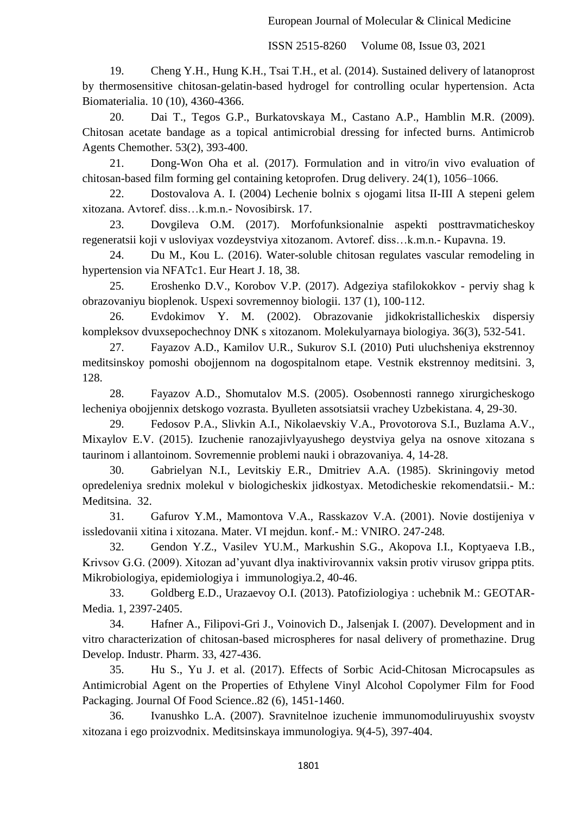19. Cheng Y.H., Hung K.H., Tsai T.H., et al. (2014). Sustained delivery of latanoprost by thermosensitive chitosan-gelatin-based hydrogel for controlling ocular hypertension. Acta Biomaterialia. 10 (10), 4360-4366.

20. Dai T., Tegos G.P., Burkatovskaya M., Castano A.P., Hamblin M.R. (2009). Chitosan acetate bandage as a topical antimicrobial dressing for infected burns. Antimicrob Agents Chemother. 53(2), 393-400.

21. Dong-Won Oha et al. (2017). Formulation and in vitro/in vivo evaluation of chitosan-based film forming gel containing ketoprofen. Drug delivery. 24(1), 1056–1066.

22. Dostovalova A. I. (2004) Lechenie bolnix s ojogami litsa II-III A stepeni gelem xitozana. Avtoref. diss…k.m.n.- Novosibirsk. 17.

23. Dovgileva O.M. (2017). Morfofunksionalnie aspekti posttravmaticheskoy regeneratsii koji v usloviyax vozdeystviya xitozanom. Avtoref. diss…k.m.n.- Kupavna. 19.

24. Du M., Kou L. (2016). Water-soluble chitosan regulates vascular remodeling in hypertension via NFATc1. Eur Heart J. 18, 38.

25. Eroshenko D.V., Korobov V.P. (2017). Adgeziya stafilokokkov - perviy shag k obrazovaniyu bioplenok. Uspexi sovremennoy biologii. 137 (1), 100-112.

26. Evdokimov Y. M. (2002). Obrazovanie jidkokristallicheskix dispersiy kompleksov dvuxsepochechnoy DNK s xitozanom. Molekulyarnaya biologiya. 36(3), 532-541.

27. Fayazov A.D., Kamilov U.R., Sukurov S.I. (2010) Puti uluchsheniya ekstrennoy meditsinskoy pomoshi obojjennom na dogospitalnom etape. Vestnik ekstrennoy meditsini. 3, 128.

28. Fayazov A.D., Shomutalov M.S. (2005). Osobennosti rannego xirurgicheskogo lecheniya obojjennix detskogo vozrasta. Byulleten assotsiatsii vrachey Uzbekistana. 4, 29-30.

29. Fedosov P.A., Slivkin A.I., Nikolaevskiy V.A., Provotorova S.I., Buzlama A.V., Mixaylov E.V. (2015). Izuchenie ranozajivlyayushego deystviya gelya na osnove xitozana s taurinom i allantoinom. Sovremennie problemi nauki i obrazovaniya. 4, 14-28.

30. Gabrielyan N.I., Levitskiy E.R., Dmitriev A.A. (1985). Skriningoviy metod opredeleniya srednix molekul v biologicheskix jidkostyax. Metodicheskie rekomendatsii.- M.: Meditsina. 32.

31. Gafurov Y.M., Mamontova V.A., Rasskazov V.A. (2001). Novie dostijeniya v issledovanii xitina i xitozana. Mater. VI mejdun. konf.- M.: VNIRO. 247-248.

32. Gendon Y.Z., Vasilev YU.M., Markushin S.G., Akopova I.I., Koptyaeva I.B., Krivsov G.G. (2009). Xitozan ad'yuvant dlya inaktivirovannix vaksin protiv virusov grippa ptits. Mikrobiologiya, epidemiologiya i immunologiya.2, 40-46.

33. Goldberg E.D., Urazaevoy O.I. (2013). Patofiziologiya : uchebnik M.: GEOTAR-Media. 1, 2397-2405.

34. Hafner A., Filipovi-Gri J., Voinovich D., Jalsenjak I. (2007). Development and in vitro characterization of chitosan-based microspheres for nasal delivery of promethazine. Drug Develop. Industr. Pharm. 33, 427-436.

35. Hu S., Yu J. et al. (2017). Effects of Sorbic Acid-Chitosan Microcapsules as Antimicrobial Agent on the Properties of Ethylene Vinyl Alcohol Copolymer Film for Food Packaging. Journal Of Food Science..82 (6), 1451-1460.

36. Ivanushko L.A. (2007). Sravnitelnoe izuchenie immunomoduliruyushix svoystv xitozana i ego proizvodnix. Meditsinskaya immunologiya. 9(4-5), 397-404.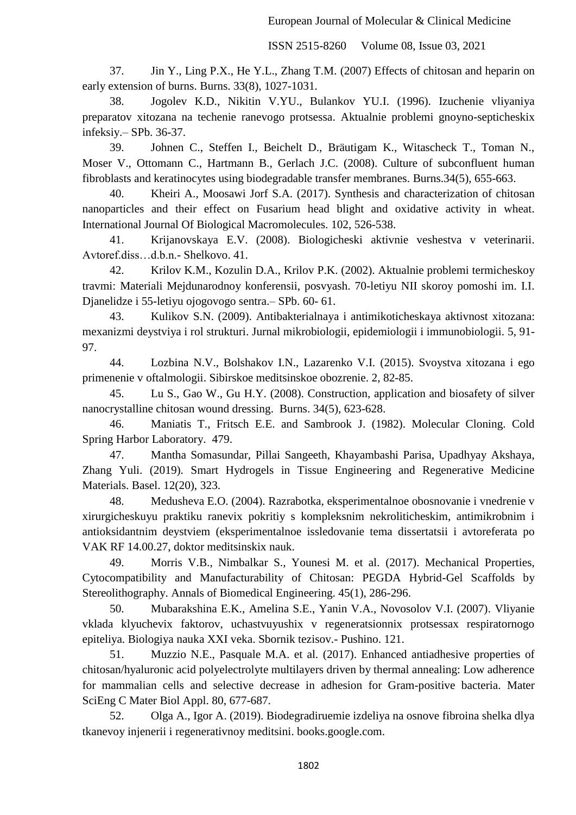37. Jin Y., Ling P.X., He Y.L., Zhang T.M. (2007) Effects of chitosan and heparin on early extension of burns. Burns. 33(8), 1027-1031.

38. Jogolev K.D., Nikitin V.YU., Bulankov YU.I. (1996). Izuchenie vliyaniya preparatov xitozana na techenie ranevogo protsessa. Aktualnie problemi gnoyno-septicheskix infeksiy.– SPb. 36-37.

39. Johnen C., Steffen I., Beichelt D., Bräutigam K., Witascheck T., Toman N., Moser V., Ottomann C., Hartmann B., Gerlach J.C. (2008). Culture of subconfluent human fibroblasts and keratinocytes using biodegradable transfer membranes. Burns.34(5), 655-663.

40. Kheiri A., Moosawi Jorf S.A. (2017). Synthesis and characterization of chitosan nanoparticles and their effect on Fusarium head blight and oxidative activity in wheat. International Journal Of Biological Macromolecules. 102, 526-538.

41. Krijanovskaya E.V. (2008). Biologicheski aktivnie veshestva v veterinarii. Avtoref.diss…d.b.n.- Shelkovo. 41.

42. Krilov K.M., Kozulin D.A., Krilov P.K. (2002). Aktualnie problemi termicheskoy travmi: Materiali Mejdunarodnoy konferensii, posvyash. 70-letiyu NII skoroy pomoshi im. I.I. Djanelidze i 55-letiyu ojogovogo sentra.– SPb. 60- 61.

43. Kulikov S.N. (2009). Antibakterialnaya i antimikoticheskaya aktivnost xitozana: mexanizmi deystviya i rol strukturi. Jurnal mikrobiologii, epidemiologii i immunobiologii. 5, 91- 97.

44. [Lozbina N.V., Bolshakov I.N., Lazarenko V.I.](https://cyberleninka.ru/journal/n/sibirskoe-meditsinskoe-obozrenie) (2015). Svoystva xitozana i ego [primenenie v oftalmologii. Sibirskoe meditsinskoe obozrenie.](https://cyberleninka.ru/journal/n/sibirskoe-meditsinskoe-obozrenie) 2, 82-85.

45. Lu S., Gao W., Gu H.Y. (2008). Construction, application and biosafety of silver nanocrystalline chitosan wound dressing. Burns. 34(5), 623-628.

46. Maniatis T., Fritsch E.E. and Sambrook J. (1982). Molecular Cloning. Cold Spring Harbor Laboratory. 479.

47. Mantha Somasundar, Pillai Sangeeth, Khayambashi Parisa, Upadhyay Akshaya, Zhang Yuli. (2019). Smart Hydrogels in Tissue Engineering and Regenerative Medicine Materials. Basel. 12(20), 323.

48. Medusheva E.O. (2004). Razrabotka, eksperimentalnoe obosnovanie i vnedrenie v xirurgicheskuyu praktiku ranevix pokritiy s kompleksnim nekroliticheskim, antimikrobnim i antioksidantnim deystviem (eksperimentalnoe issledovanie tema dissertatsii i avtoreferata po VAK RF 14.00.27, doktor meditsinskix nauk.

49. Morris V.B., Nimbalkar S., Younesi M. et al. (2017). Mechanical Properties, Cytocompatibility and Manufacturability of Chitosan: PEGDA Hybrid-Gel Scaffolds by Stereolithography. Annals of Biomedical Engineering. 45(1), 286-296.

50. Mubarakshina E.K., Amelina S.E., Yanin V.A., Novosolov V.I. (2007). Vliyanie vklada klyuchevix faktorov, uchastvuyushix v regeneratsionnix protsessax respiratornogo epiteliya. Biologiya nauka XXI veka. Sbornik tezisov.- Pushino. 121.

51. Muzzio N.E., Pasquale M.A. et al. (2017). Enhanced antiadhesive properties of chitosan/hyaluronic acid polyelectrolyte multilayers driven by thermal annealing: Low adherence for mammalian cells and selective decrease in adhesion for Gram-positive bacteria. Mater SciEng C Mater Biol Appl. 80, 677-687.

52. Olga A., Igor A. (2019). [Biodegradiruemie izdeliya na osnove fibroina shelka dlya](https://www.google.com/books?hl=ru&lr=&id=fjW6DwAAQBAJ&oi=fnd&pg=PA12&dq=%D1%85%D0%B8%D1%82%D0%BE%D0%B7%D0%B0%D0%BD+%D0%B2%D1%8B%D0%B4%D0%B5%D0%BB%D0%B5%D0%BD%D0%BD%D1%8B%D0%B9+%D0%B8%D0%B7+%D0%BA%D0%BE%D0%BA%D0%BE%D0%BD%D0%BE%D0%B2+%D1%88%D0%B5%D0%BB%D0%BA%D0%BE%D0%BF%D1%80%D1%8F%D0%B4%D0%B0&ots=8XjdUAB4yR&sig=ssqajZ6skN3SodErdKPCfZJ24j8)  [tkanevoy injenerii i regenerativnoy meditsini.](https://www.google.com/books?hl=ru&lr=&id=fjW6DwAAQBAJ&oi=fnd&pg=PA12&dq=%D1%85%D0%B8%D1%82%D0%BE%D0%B7%D0%B0%D0%BD+%D0%B2%D1%8B%D0%B4%D0%B5%D0%BB%D0%B5%D0%BD%D0%BD%D1%8B%D0%B9+%D0%B8%D0%B7+%D0%BA%D0%BE%D0%BA%D0%BE%D0%BD%D0%BE%D0%B2+%D1%88%D0%B5%D0%BB%D0%BA%D0%BE%D0%BF%D1%80%D1%8F%D0%B4%D0%B0&ots=8XjdUAB4yR&sig=ssqajZ6skN3SodErdKPCfZJ24j8) books.google.com.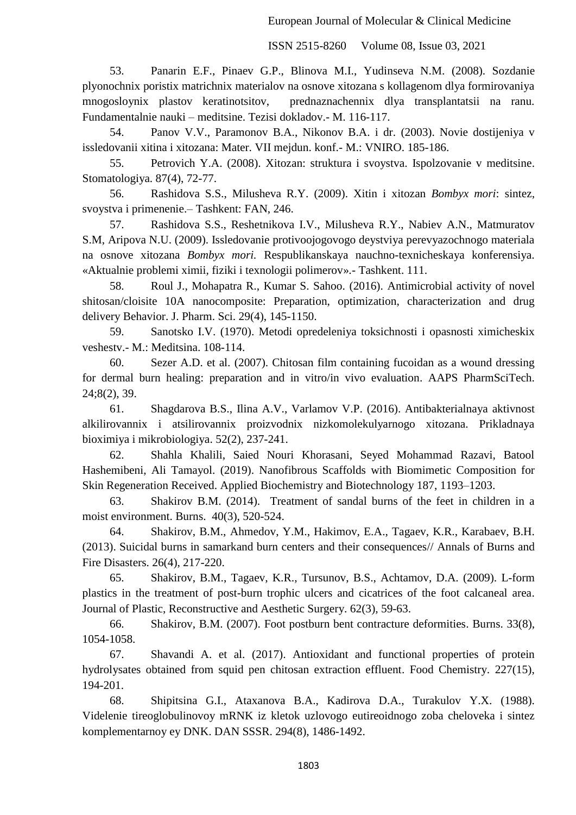53. Panarin E.F., Pinaev G.P., Blinova M.I., Yudinseva N.M. (2008). Sozdanie plyonochnix poristix matrichnix materialov na osnove xitozana s kollagenom dlya formirovaniya mnogosloynix plastov keratinotsitov, prednaznachennix dlya transplantatsii na ranu. Fundamentalnie nauki – meditsine. Tezisi dokladov.- M. 116-117.

54. Panov V.V., Paramonov B.A., Nikonov B.A. i dr. (2003). Novie dostijeniya v issledovanii xitina i xitozana: Mater. VII mejdun. konf.- M.: VNIRO. 185-186.

55. Petrovich Y.A. (2008). Xitozan: struktura i svoystva. Ispolzovanie v meditsine. Stomatologiya. 87(4), 72-77.

56. Rashidova S.S., Milusheva R.Y. (2009). Xitin i xitozan *Bombyx mori*: sintez, svoystva i primenenie.– Tashkent: FAN, 246.

57. Rashidova S.S., Reshetnikova I.V., Milusheva R.Y., Nabiev A.N., Matmuratov S.M, Aripova N.U. (2009). Issledovanie protivoojogovogo deystviya perevyazochnogo materiala na osnove xitozana *Bombyx mori.* Respublikanskaya nauchno-texnicheskaya konferensiya. «Aktualnie problemi ximii, fiziki i texnologii polimerov».- Tashkent. 111.

58. Roul J., Mohapatra R., Kumar S. Sahoo. (2016). Antimicrobial activity of novel shitosan/cloisite 10A nanocomposite: Preparation, optimization, characterization and drug delivery Behavior. J. Pharm. Sci. 29(4), 145-1150.

59. Sanotsko I.V. (1970). Metodi opredeleniya toksichnosti i opasnosti ximicheskix veshestv.- M.: Meditsina. 108-114.

60. Sezer A.D. et al. (2007). Chitosan film containing fucoidan as a wound dressing for dermal burn healing: preparation and in vitro/in vivo evaluation. AAPS PharmSciTech. 24;8(2), 39.

61. Shagdarova B.S., Ilina A.V., Varlamov V.P. (2016). Antibakterialnaya aktivnost alkilirovannix i atsilirovannix proizvodnix nizkomolekulyarnogo xitozana. Prikladnaya bioximiya i mikrobiologiya. 52(2), 237-241.

62. Shahla Khalili, Saied Nouri Khorasani, Seyed Mohammad Razavi, Batool Hashemibeni, Ali Tamayol. (2019). Nanofibrous Scaffolds with Biomimetic Composition for Skin Regeneration Received. Applied Biochemistry and Biotechnology 187, 1193–1203.

63. [Shakirov B.M.](https://www.scopus.com/authid/detail.uri?origin=resultslist&authorId=8911963800&zone=) (2014). [Treatment of sandal burns of the feet in children in a](https://www.scopus.com/record/display.uri?eid=2-s2.0-84896094379&origin=resultslist&sort=plf-f&src=s&nlo=&nlr=&nls=&sid=c1f62c57476f328531a90cad4b4b4d7a&sot=aff&sdt=a&sl=51&s=AF-ID%28%22Samarkand+State+Medical+Institute%22+60113279%29&relpos=48&citeCnt=2&searchTerm=)  [moist environment.](https://www.scopus.com/record/display.uri?eid=2-s2.0-84896094379&origin=resultslist&sort=plf-f&src=s&nlo=&nlr=&nls=&sid=c1f62c57476f328531a90cad4b4b4d7a&sot=aff&sdt=a&sl=51&s=AF-ID%28%22Samarkand+State+Medical+Institute%22+60113279%29&relpos=48&citeCnt=2&searchTerm=) [Burns.](https://www.scopus.com/sourceid/29574?origin=resultslist) 40(3), 520-524.

64. [Shakirov, B.M.,](https://www.scopus.com/authid/detail.uri?origin=resultslist&authorId=8911963800&zone=) [Ahmedov, Y.M.,](https://www.scopus.com/authid/detail.uri?origin=resultslist&authorId=56015700500&zone=) [Hakimov, E.A.,](https://www.scopus.com/authid/detail.uri?origin=resultslist&authorId=56015168400&zone=) [Tagaev, K.R.,](https://www.scopus.com/authid/detail.uri?origin=resultslist&authorId=25932479800&zone=) [Karabaev, B.H.](https://www.scopus.com/authid/detail.uri?origin=resultslist&authorId=56015275400&zone=) (2013). [Suicidal burns in samarkand burn centers and their consequences/](https://www.scopus.com/record/display.uri?eid=2-s2.0-84892970706&origin=resultslist&sort=plf-f&src=s&nlo=&nlr=&nls=&sid=c1f62c57476f328531a90cad4b4b4d7a&sot=aff&sdt=a&sl=51&s=AF-ID%28%22Samarkand+State+Medical+Institute%22+60113279%29&relpos=50&citeCnt=1&searchTerm=)/ [Annals of Burns and](https://www.scopus.com/sourceid/19700188351?origin=resultslist)  [Fire Disasters.](https://www.scopus.com/sourceid/19700188351?origin=resultslist) 26(4), 217-220.

65. [Shakirov, B.M.,](https://www.scopus.com/authid/detail.uri?origin=resultslist&authorId=8911963800&zone=) [Tagaev, K.R.,](https://www.scopus.com/authid/detail.uri?origin=resultslist&authorId=25932479800&zone=) [Tursunov, B.S.,](https://www.scopus.com/authid/detail.uri?origin=resultslist&authorId=7003696364&zone=) [Achtamov, D.A.](https://www.scopus.com/authid/detail.uri?origin=resultslist&authorId=25932119300&zone=) (2009). [L-form](https://www.scopus.com/record/display.uri?eid=2-s2.0-60449118461&origin=resultslist&sort=plf-f&src=s&nlo=&nlr=&nls=&sid=c1f62c57476f328531a90cad4b4b4d7a&sot=aff&sdt=a&sl=51&s=AF-ID%28%22Samarkand+State+Medical+Institute%22+60113279%29&relpos=60&citeCnt=1&searchTerm=)  [plastics in the treatment of post-burn trophic ulcers and cicatrices of the foot calcaneal area.](https://www.scopus.com/record/display.uri?eid=2-s2.0-60449118461&origin=resultslist&sort=plf-f&src=s&nlo=&nlr=&nls=&sid=c1f62c57476f328531a90cad4b4b4d7a&sot=aff&sdt=a&sl=51&s=AF-ID%28%22Samarkand+State+Medical+Institute%22+60113279%29&relpos=60&citeCnt=1&searchTerm=) Journal of [Plastic, Reconstructive and Aesthetic Surgery.](https://www.scopus.com/sourceid/4000148817?origin=resultslist) 62(3), 59-63.

66. [Shakirov, B.M.](https://www.scopus.com/authid/detail.uri?origin=resultslist&authorId=8911963800&zone=) (2007). [Foot postburn bent contracture deformities.](https://www.scopus.com/record/display.uri?eid=2-s2.0-35748961982&origin=resultslist&sort=plf-f&src=s&nlo=&nlr=&nls=&sid=c1f62c57476f328531a90cad4b4b4d7a&sot=aff&sdt=a&sl=51&s=AF-ID%28%22Samarkand+State+Medical+Institute%22+60113279%29&relpos=61&citeCnt=9&searchTerm=) [Burns.](https://www.scopus.com/sourceid/29574?origin=resultslist) 33(8), 1054-1058.

67. Shavandi A. et al. (2017). Antioxidant and functional properties of protein hydrolysates obtained from squid pen chitosan extraction effluent. Food Chemistry. 227(15), 194-201.

68. Shipitsina G.I., Ataxanova B.A., Kadirova D.A., Turakulov Y.X. (1988). Videlenie tireoglobulinovoy mRNK iz kletok uzlovogo eutireoidnogo zoba cheloveka i sintez komplementarnoy ey DNK. DAN SSSR. 294(8), 1486-1492.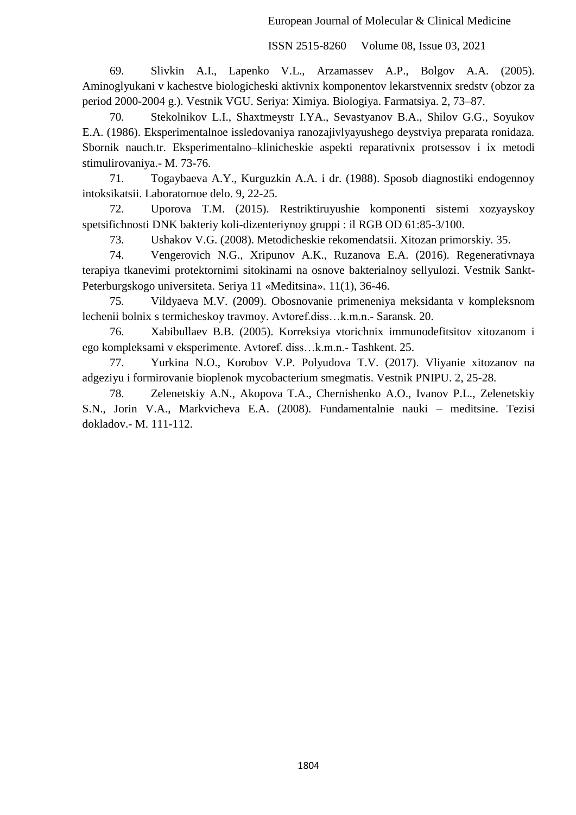69. Slivkin A.I., Lapenko V.L., Arzamassev A.P., Bolgov A.A. (2005). Aminoglyukani v kachestve biologicheski aktivnix komponentov lekarstvennix sredstv (obzor za period 2000-2004 g.). Vestnik VGU. Seriya: Ximiya. Biologiya. Farmatsiya. 2, 73–87.

70. Stekolnikov L.I., Shaxtmeystr I.YA., Sevastyanov B.A., Shilov G.G., Soyukov E.A. (1986). Eksperimentalnoe issledovaniya ranozajivlyayushego deystviya preparata ronidaza. Sbornik nauch.tr. Eksperimentalno–klinicheskie aspekti reparativnix protsessov i ix metodi stimulirovaniya.- M. 73-76.

71. Togaybaeva A.Y., Kurguzkin A.A. i dr. (1988). Sposob diagnostiki endogennoy intoksikatsii. Laboratornoe delo. 9, 22-25.

72. Uporova T.M. (2015). Restriktiruyushie komponenti sistemi xozyayskoy spetsifichnosti DNK bakteriy koli-dizenteriynoy gruppi : il RGB OD 61:85-3/100.

73. Ushakov V.G. (2008). Metodicheskie rekomendatsii. Xitozan primorskiy. 35.

74. Vengerovich N.G., Xripunov A.K., Ruzanova E.A. (2016). Regenerativnaya terapiya tkanevimi protektornimi sitokinami na osnove bakterialnoy sellyulozi. Vestnik Sankt-Peterburgskogo universiteta. Seriya 11 «Meditsina». 11(1), 36-46.

75. Vildyaeva M.V. (2009). Obosnovanie primeneniya meksidanta v kompleksnom lechenii bolnix s termicheskoy travmoy. Avtoref.diss…k.m.n.- Saransk. 20.

76. Xabibullaev B.B. (2005). Korreksiya vtorichnix immunodefitsitov xitozanom i ego kompleksami v eksperimente. Avtoref. diss…k.m.n.- Tashkent. 25.

77. Yurkina N.O., Korobov V.P. Polyudova T.V. (2017). Vliyanie xitozanov na adgeziyu i formirovanie bioplenok mycobacterium smegmatis. Vestnik PNIPU. 2, 25-28.

78. Zelenetskiy A.N., Akopova T.A., Chernishenko A.O., Ivanov P.L., Zelenetskiy S.N., Jorin V.A., Markvicheva E.A. (2008). Fundamentalnie nauki – meditsine. Tezisi dokladov.- M. 111-112.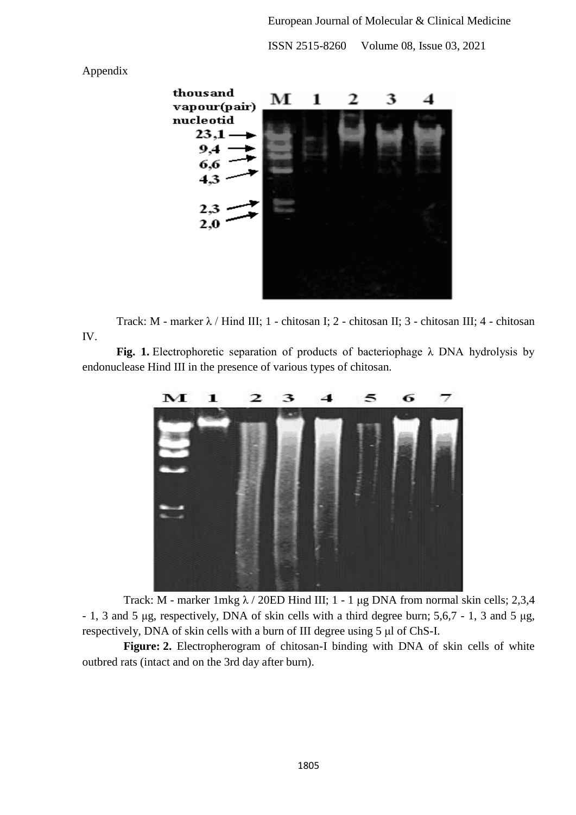

Appendix

Track: M - marker λ / Hind III; 1 - chitosan I; 2 - chitosan II; 3 - chitosan III; 4 - chitosan IV.

**Fig. 1.** Electrophoretic separation of products of bacteriophage λ DNA hydrolysis by endonuclease Hind III in the presence of various types of chitosan.



Track: M - marker 1mkg  $\lambda$  / 20ED Hind III; 1 - 1 μg DNA from normal skin cells; 2,3,4 - 1, 3 and 5 μg, respectively, DNA of skin cells with a third degree burn; 5,6,7 - 1, 3 and 5 μg, respectively, DNA of skin cells with a burn of III degree using 5 μl of ChS-I.

**Figure: 2.** Electropherogram of chitosan-I binding with DNA of skin cells of white outbred rats (intact and on the 3rd day after burn).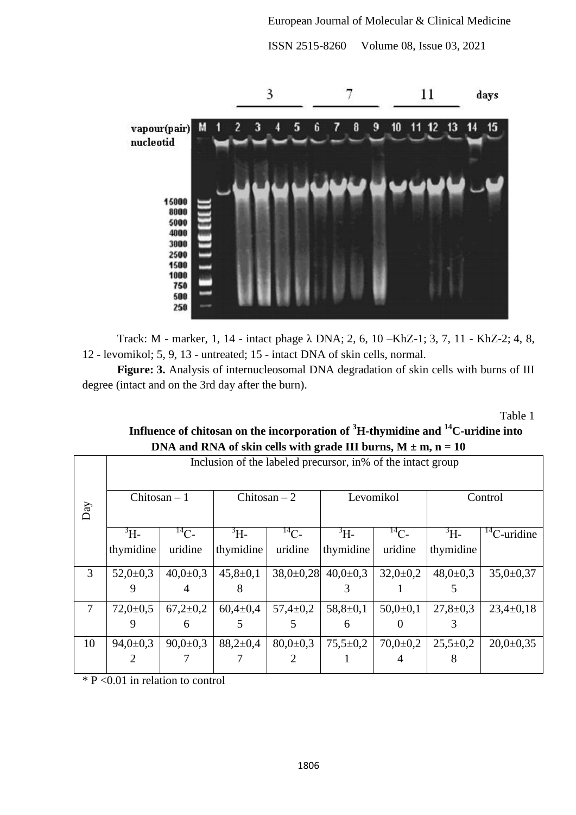ISSN 2515-8260 Volume 08, Issue 03, 2021



Track: M - marker, 1, 14 - intact phage λ DNA; 2, 6, 10 –KhZ-1; 3, 7, 11 - KhZ-2; 4, 8, 12 - levomikol; 5, 9, 13 - untreated; 15 - intact DNA of skin cells, normal.

**Figure: 3.** Analysis of internucleosomal DNA degradation of skin cells with burns of III degree (intact and on the 3rd day after the burn).

Table 1

| $D1$ and N <sub>1</sub> A of skin cens with grade in buring, $M \pm m$ , $H = 10$ |                                                              |                |                |                |                             |                |                |                     |
|-----------------------------------------------------------------------------------|--------------------------------------------------------------|----------------|----------------|----------------|-----------------------------|----------------|----------------|---------------------|
|                                                                                   | Inclusion of the labeled precursor, in % of the intact group |                |                |                |                             |                |                |                     |
| Day                                                                               | Chitosan $-1$                                                |                | Chitosan $-2$  |                | Levomikol                   |                | Control        |                     |
|                                                                                   | $\rm{^3H}$                                                   | $^{14}C$ -     | $\rm{^{3}H-}$  | $^{14}C-$      | $\rm{^3H}$                  | $^{14}C-$      | $\rm{^{3}H}$ - | ${}^{14}$ C-uridine |
|                                                                                   | thymidine                                                    | uridine        | thymidine      | uridine        | thymidine                   | uridine        | thymidine      |                     |
| 3                                                                                 | $52,0+0,3$                                                   | $40,0{\pm}0,3$ | $45,8 \pm 0,1$ |                | $38,0\pm0.28$ 40,0 $\pm0.3$ | $32,0+0,2$     | $48,0 \pm 0.3$ | $35,0 \pm 0.37$     |
|                                                                                   | 9                                                            |                | x              |                |                             |                |                |                     |
| $\overline{7}$                                                                    | $72,0+0,5$                                                   | $67,2{\pm}0.2$ | $60,4{\pm}0,4$ | $57,4 \pm 0.2$ | $58,8 \pm 0,1$              | $50,0{\pm}0,1$ | $27,8 \pm 0.3$ | $23,4\pm0,18$       |
|                                                                                   | 9                                                            |                |                |                | 6                           |                |                |                     |
| 10                                                                                | $94,0 \pm 0.3$                                               | $90,0{\pm}0.3$ | $88,2{\pm}0,4$ | $80,0{\pm}0.3$ | $75,5 \pm 0.2$              | $70,0{\pm}0.2$ | $25,5+0,2$     | $20,0 \pm 0.35$     |
|                                                                                   | $\mathcal{D}_{\cdot}$                                        |                |                |                |                             |                |                |                     |

# **Influence of chitosan on the incorporation of <sup>3</sup>H-thymidine and <sup>14</sup>C-uridine into DNA and RNA of skin cells with grade III burns,**  $M + m$ **,**  $n = 10$

\* P <0.01 in relation to control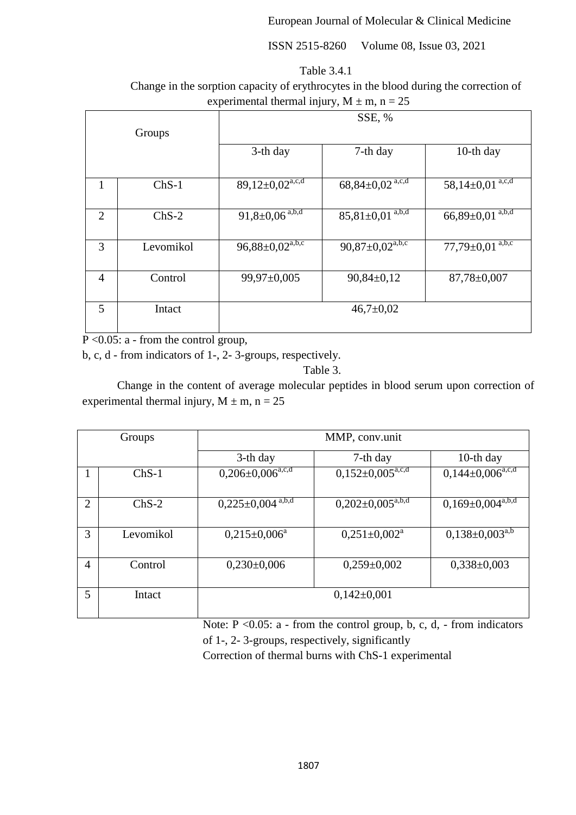ISSN 2515-8260 Volume 08, Issue 03, 2021

| Table 3.4.1 |
|-------------|
|             |

Change in the sorption capacity of erythrocytes in the blood during the correction of experimental thermal injury,  $M \pm m$ ,  $n = 25$ 

|                |           | SSE, %                        |                                     |                          |  |
|----------------|-----------|-------------------------------|-------------------------------------|--------------------------|--|
| Groups         |           |                               |                                     |                          |  |
|                |           | 3-th day                      | 7-th day                            | 10-th day                |  |
|                |           |                               |                                     |                          |  |
| 1              | $ChS-1$   | $89,12\pm0,02^{\text{a,c,d}}$ | $68,84\pm0,02$ <sup>a,c,d</sup>     | $58,14\pm0,01^{a,c,d}$   |  |
|                |           |                               |                                     |                          |  |
| 2              | $ChS-2$   | $91,8 \pm 0,06^{a,b,d}$       | $85,81\pm0.01^{a,b,d}$              | $66,89 \pm 0.01^{a,b,d}$ |  |
|                |           |                               |                                     |                          |  |
| 3              | Levomikol | $96,88 \pm 0,02^{a,b,c}$      | $90,87 \pm 0,02^{\overline{a},b,c}$ | $77,79 \pm 0.01^{a,b,c}$ |  |
|                |           |                               |                                     |                          |  |
| $\overline{4}$ | Control   | 99,97±0,005                   | $90,84\pm0,12$                      | 87,78±0,007              |  |
|                |           |                               |                                     |                          |  |
| 5<br>Intact    |           | $46,7 \pm 0.02$               |                                     |                          |  |
|                |           |                               |                                     |                          |  |

 $P \leq 0.05$ : a - from the control group,

b, c, d - from indicators of 1-, 2- 3-groups, respectively.

# Table 3.

Change in the content of average molecular peptides in blood serum upon correction of experimental thermal injury,  $M \pm m$ ,  $n = 25$ 

| Groups         |           | MMP, conv.unit                   |                                |                                |  |
|----------------|-----------|----------------------------------|--------------------------------|--------------------------------|--|
|                |           | $3-th day$                       | 7-th day                       | 10-th day                      |  |
|                | $ChS-1$   | $0,206\pm0,006^{\mathrm{a,c,d}}$ | $0,152\pm0,005^{\text{a,c,d}}$ | $0,144\pm0,006^{\text{a,c,d}}$ |  |
| $\overline{2}$ | $ChS-2$   | $0,225\pm0,004$ <sup>a,b,d</sup> | $0,202\pm0,005^{\text{a,b,d}}$ | $0,169\pm0,004^{a,b,d}$        |  |
| 3              | Levomikol | $0,215\pm0,006^a$                | $0,251 \pm 0,002^a$            | $0,138\pm0,003^{a,b}$          |  |
| $\overline{4}$ | Control   | $0,230\pm0,006$                  | $0,259\pm0,002$                | $0,338\pm0,003$                |  |
| 5              | Intact    |                                  | $0,142\pm0,001$                |                                |  |

Note:  $P \le 0.05$ : a - from the control group, b, c, d, - from indicators of 1-, 2- 3-groups, respectively, significantly

Correction of thermal burns with СhS-1 experimental